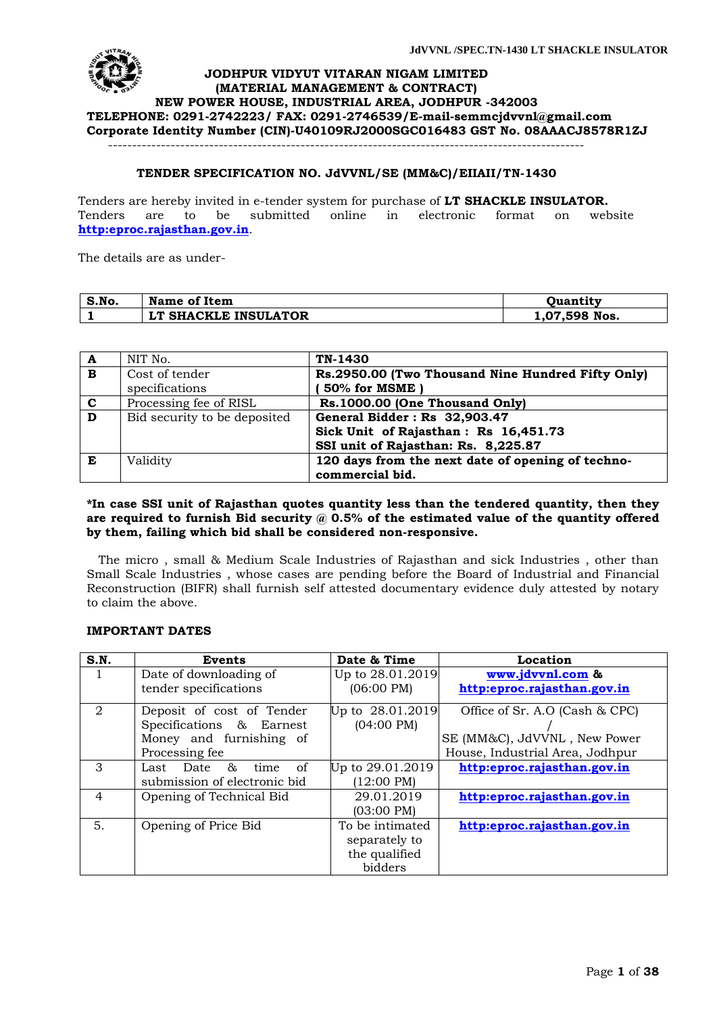

#### **TENDER SPECIFICATION NO. JdVVNL/SE (MM&C)/EIIAII/TN-1430**

Tenders are hereby invited in e-tender system for purchase of **LT SHACKLE INSULATOR.**  Tenders are to be submitted online in electronic format on website **[http:eproc.rajasthan.gov.in](http://www.eproc.rajasthan.gov.in/nicgep/app)**.

The details are as under-

| S.No. | Name of Item         | Ouantity      |
|-------|----------------------|---------------|
|       | LT SHACKLE INSULATOR | 1,07,598 Nos. |

| A                       | NIT No.                      | TN-1430                                           |
|-------------------------|------------------------------|---------------------------------------------------|
| $\mathbf{B}$            | Cost of tender               | Rs.2950.00 (Two Thousand Nine Hundred Fifty Only) |
|                         | specifications               | 50% for MSME                                      |
| $\mathbf{c}$            | Processing fee of RISL       | Rs.1000.00 (One Thousand Only)                    |
| $\overline{\mathbf{D}}$ | Bid security to be deposited | General Bidder: Rs 32,903.47                      |
|                         |                              | Sick Unit of Rajasthan: Rs 16,451.73              |
|                         |                              | SSI unit of Rajasthan: Rs. 8,225.87               |
| E                       | Validity                     | 120 days from the next date of opening of techno- |
|                         |                              | commercial bid.                                   |

#### **\*In case SSI unit of Rajasthan quotes quantity less than the tendered quantity, then they**  are required to furnish Bid security @ 0.5% of the estimated value of the quantity offered **by them, failing which bid shall be considered non-responsive.**

 The micro , small & Medium Scale Industries of Rajasthan and sick Industries , other than Small Scale Industries , whose cases are pending before the Board of Industrial and Financial Reconstruction (BIFR) shall furnish self attested documentary evidence duly attested by notary to claim the above.

#### **IMPORTANT DATES**

| S.N.           | Events                       | Date & Time          | Location                        |
|----------------|------------------------------|----------------------|---------------------------------|
| 1              | Date of downloading of       | Up to 28.01.2019     | www.jdvvnl.com &                |
|                | tender specifications        | $(06:00 \text{ PM})$ | http:eproc.rajasthan.gov.in     |
| $\mathcal{D}$  | Deposit of cost of Tender    | Up to $28.01.2019$   | Office of Sr. A.O (Cash & CPC)  |
|                | Specifications & Earnest     | $(04:00 \text{ PM})$ |                                 |
|                | Money and furnishing of      |                      | SE (MM&C), JdVVNL, New Power    |
|                | Processing fee               |                      | House, Industrial Area, Jodhpur |
| 3              | Last Date &<br>of<br>time    | Up to 29.01.2019     | http:eproc.rajasthan.gov.in     |
|                | submission of electronic bid | $(12:00 \text{ PM})$ |                                 |
| $\overline{4}$ | Opening of Technical Bid     | 29.01.2019           | http:eproc.rajasthan.gov.in     |
|                |                              | $(03:00 \text{ PM})$ |                                 |
| 5.             | Opening of Price Bid         | To be intimated      | http:eproc.rajasthan.gov.in     |
|                |                              | separately to        |                                 |
|                |                              | the qualified        |                                 |
|                |                              | bidders              |                                 |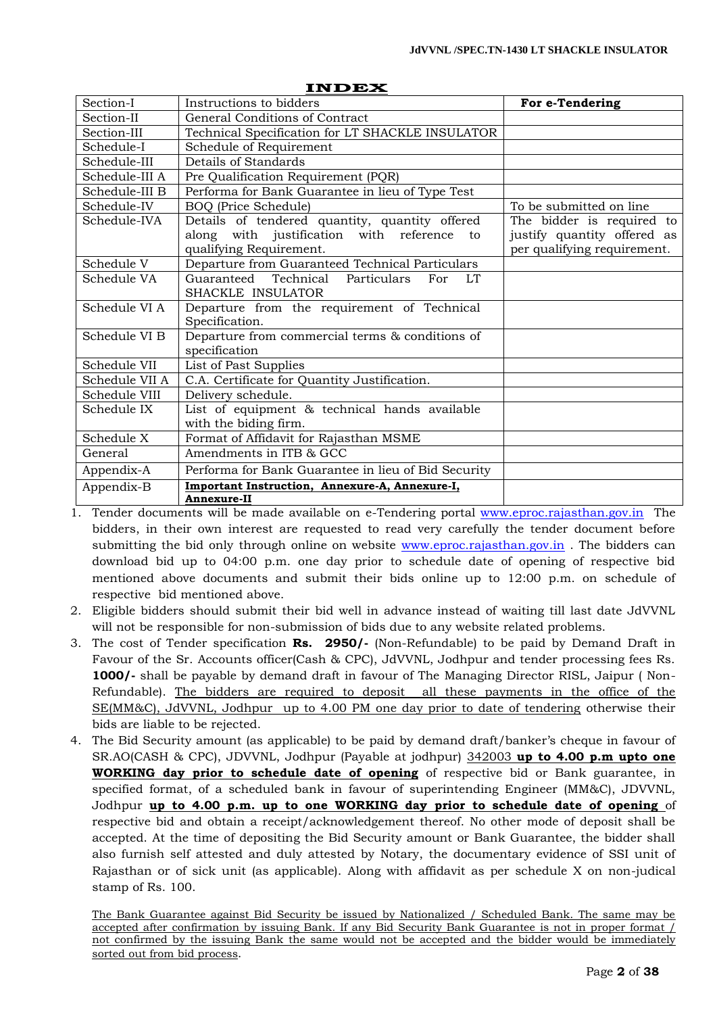| Section-I      | Instructions to bidders                                       | For e-Tendering             |
|----------------|---------------------------------------------------------------|-----------------------------|
| Section-II     | General Conditions of Contract                                |                             |
| Section-III    | Technical Specification for LT SHACKLE INSULATOR              |                             |
| Schedule-I     | Schedule of Requirement                                       |                             |
| Schedule-III   | Details of Standards                                          |                             |
| Schedule-III A | Pre Qualification Requirement (PQR)                           |                             |
| Schedule-III B | Performa for Bank Guarantee in lieu of Type Test              |                             |
| Schedule-IV    | BOQ (Price Schedule)                                          | To be submitted on line     |
| Schedule-IVA   | Details of tendered quantity, quantity offered                | The bidder is required to   |
|                | along with justification with reference to                    | justify quantity offered as |
|                | qualifying Requirement.                                       | per qualifying requirement. |
| Schedule V     | Departure from Guaranteed Technical Particulars               |                             |
| Schedule VA    | Guaranteed Technical Particulars For<br><b>LT</b>             |                             |
|                | SHACKLE INSULATOR                                             |                             |
| Schedule VI A  | Departure from the requirement of Technical                   |                             |
|                | Specification.                                                |                             |
| Schedule VI B  | Departure from commercial terms & conditions of               |                             |
|                | specification                                                 |                             |
| Schedule VII   | List of Past Supplies                                         |                             |
| Schedule VII A | C.A. Certificate for Quantity Justification.                  |                             |
| Schedule VIII  | Delivery schedule.                                            |                             |
| Schedule IX    | List of equipment & technical hands available                 |                             |
|                | with the biding firm.                                         |                             |
| Schedule X     | Format of Affidavit for Rajasthan MSME                        |                             |
| General        | Amendments in ITB & GCC                                       |                             |
| Appendix-A     | Performa for Bank Guarantee in lieu of Bid Security           |                             |
| Appendix-B     | Important Instruction, Annexure-A, Annexure-I,<br>Annexure-II |                             |

#### **INDEX**

1. Tender documents will be made available on e-Tendering portal [www.eproc.rajasthan.gov.in](http://www.eproc.rajasthan.gov.in/) The bidders, in their own interest are requested to read very carefully the tender document before submitting the bid only through online on website [www.eproc.rajasthan.gov.in](http://www.eproc.rajasthan.gov.in/). The bidders can download bid up to 04:00 p.m. one day prior to schedule date of opening of respective bid mentioned above documents and submit their bids online up to 12:00 p.m. on schedule of respective bid mentioned above.

- 2. Eligible bidders should submit their bid well in advance instead of waiting till last date JdVVNL will not be responsible for non-submission of bids due to any website related problems.
- 3. The cost of Tender specification **Rs. 2950/-** (Non-Refundable) to be paid by Demand Draft in Favour of the Sr. Accounts officer(Cash & CPC), JdVVNL, Jodhpur and tender processing fees Rs. **1000/-** shall be payable by demand draft in favour of The Managing Director RISL, Jaipur ( Non-Refundable). The bidders are required to deposit all these payments in the office of the SE(MM&C), JdVVNL, Jodhpur up to 4.00 PM one day prior to date of tendering otherwise their bids are liable to be rejected.
- 4. The Bid Security amount (as applicable) to be paid by demand draft/banker"s cheque in favour of SR.AO(CASH & CPC), JDVVNL, Jodhpur (Payable at jodhpur) 342003 **up to 4.00 p.m upto one WORKING day prior to schedule date of opening** of respective bid or Bank guarantee, in specified format, of a scheduled bank in favour of superintending Engineer (MM&C), JDVVNL, Jodhpur **up to 4.00 p.m. up to one WORKING day prior to schedule date of opening** of respective bid and obtain a receipt/acknowledgement thereof. No other mode of deposit shall be accepted. At the time of depositing the Bid Security amount or Bank Guarantee, the bidder shall also furnish self attested and duly attested by Notary, the documentary evidence of SSI unit of Rajasthan or of sick unit (as applicable). Along with affidavit as per schedule X on non-judical stamp of Rs. 100.

The Bank Guarantee against Bid Security be issued by Nationalized / Scheduled Bank. The same may be accepted after confirmation by issuing Bank. If any Bid Security Bank Guarantee is not in proper format / not confirmed by the issuing Bank the same would not be accepted and the bidder would be immediately sorted out from bid process.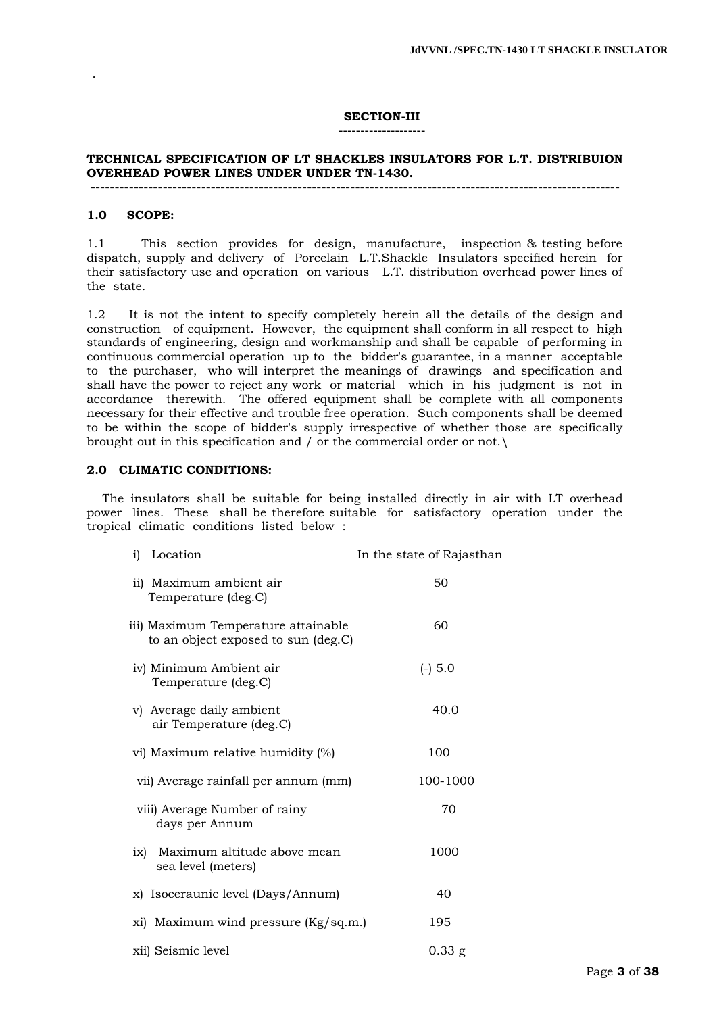#### **SECTION-III**

#### **--------------------**

#### **TECHNICAL SPECIFICATION OF LT SHACKLES INSULATORS FOR L.T. DISTRIBUION OVERHEAD POWER LINES UNDER UNDER TN-1430.** --------------------------------------------------------------------------------------------------------------

#### **1.0 SCOPE:**

.

1.1 This section provides for design, manufacture, inspection & testing before dispatch, supply and delivery of Porcelain L.T.Shackle Insulators specified herein for their satisfactory use and operation on various L.T. distribution overhead power lines of the state.

1.2 It is not the intent to specify completely herein all the details of the design and construction of equipment. However, the equipment shall conform in all respect to high standards of engineering, design and workmanship and shall be capable of performing in continuous commercial operation up to the bidder's guarantee, in a manner acceptable to the purchaser, who will interpret the meanings of drawings and specification and shall have the power to reject any work or material which in his judgment is not in accordance therewith. The offered equipment shall be complete with all components necessary for their effective and trouble free operation. Such components shall be deemed to be within the scope of bidder's supply irrespective of whether those are specifically brought out in this specification and / or the commercial order or not.\

#### **2.0 CLIMATIC CONDITIONS:**

 The insulators shall be suitable for being installed directly in air with LT overhead power lines. These shall be therefore suitable for satisfactory operation under the tropical climatic conditions listed below :

| Location<br>i)                                                             | In the state of Rajasthan |
|----------------------------------------------------------------------------|---------------------------|
| ii) Maximum ambient air<br>Temperature (deg.C)                             | 50                        |
| iii) Maximum Temperature attainable<br>to an object exposed to sun (deg.C) | 60                        |
| iv) Minimum Ambient air<br>Temperature (deg.C)                             | $(-) 5.0$                 |
| v) Average daily ambient<br>air Temperature (deg.C)                        | 40.0                      |
| vi) Maximum relative humidity (%)                                          | 100                       |
| vii) Average rainfall per annum (mm)                                       | 100-1000                  |
| viii) Average Number of rainy<br>days per Annum                            | 70                        |
| Maximum altitude above mean<br>ix)<br>sea level (meters)                   | 1000                      |
| x) Isoceraunic level (Days/Annum)                                          | 40                        |
| xi) Maximum wind pressure (Kg/sq.m.)                                       | 195                       |
| xii) Seismic level                                                         | $0.33$ g                  |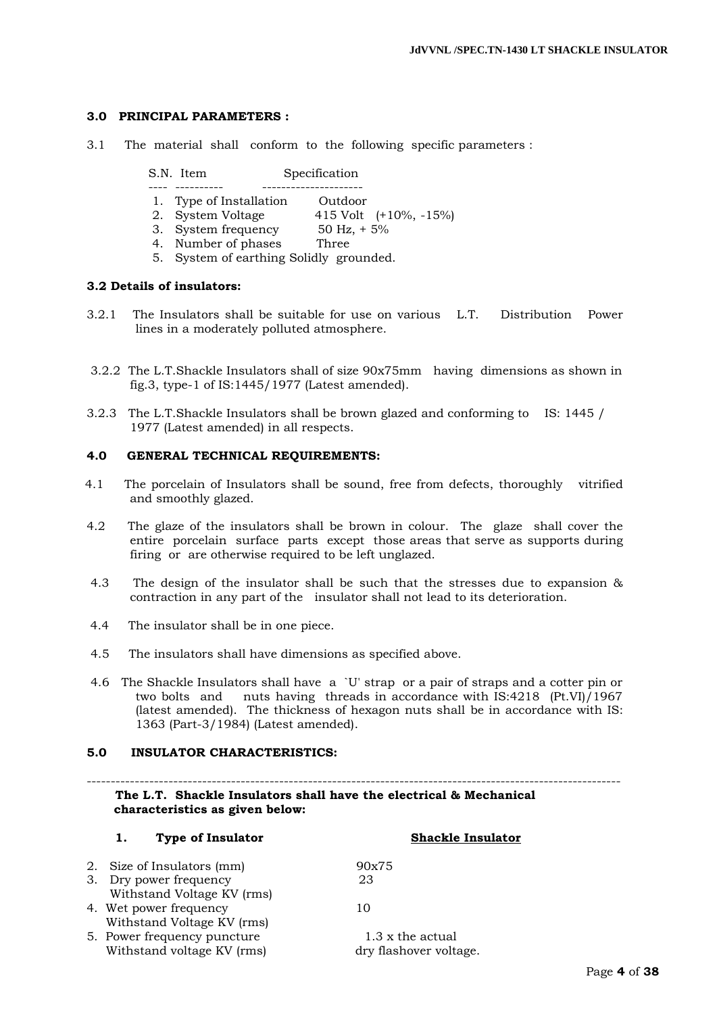# **3.0 PRINCIPAL PARAMETERS :**

3.1 The material shall conform to the following specific parameters :

| S.N. Item | Specification |
|-----------|---------------|
|-----------|---------------|

- ---- ---------- ---------------------
- 1. Type of Installation Outdoor 2. System Voltage 415 Volt (+10%, -15%)
	- 3. System frequency 50 Hz, + 5%
	- 4. Number of phases Three
	- 5. System of earthing Solidly grounded.

# **3.2 Details of insulators:**

- 3.2.1 The Insulators shall be suitable for use on various L.T. Distribution Power lines in a moderately polluted atmosphere.
- 3.2.2 The L.T.Shackle Insulators shall of size 90x75mm having dimensions as shown in fig.3, type-1 of IS:1445/1977 (Latest amended).
- 3.2.3 The L.T.Shackle Insulators shall be brown glazed and conforming to IS: 1445 / 1977 (Latest amended) in all respects.

#### **4.0 GENERAL TECHNICAL REQUIREMENTS:**

- 4.1 The porcelain of Insulators shall be sound, free from defects, thoroughly vitrified and smoothly glazed.
- 4.2 The glaze of the insulators shall be brown in colour. The glaze shall cover the entire porcelain surface parts except those areas that serve as supports during firing or are otherwise required to be left unglazed.
- 4.3 The design of the insulator shall be such that the stresses due to expansion & contraction in any part of the insulator shall not lead to its deterioration.
- 4.4 The insulator shall be in one piece.
- 4.5 The insulators shall have dimensions as specified above.
- 4.6 The Shackle Insulators shall have a `U' strap or a pair of straps and a cotter pin or two bolts and nuts having threads in accordance with IS:4218 (Pt.VI)/1967 (latest amended). The thickness of hexagon nuts shall be in accordance with IS: 1363 (Part-3/1984) (Latest amended).

#### **5.0 INSULATOR CHARACTERISTICS:**

---------------------------------------------------------------------------------------------------------------  **The L.T. Shackle Insulators shall have the electrical & Mechanical characteristics as given below:**

| ı.                     | Type of Insulator           | <b>Shackle Insulator</b> |
|------------------------|-----------------------------|--------------------------|
|                        | 2. Size of Insulators (mm)  | 90x75                    |
| 3. Dry power frequency |                             | 23                       |
|                        | Withstand Voltage KV (rms)  |                          |
| 4. Wet power frequency |                             | 10                       |
|                        | Withstand Voltage KV (rms)  |                          |
|                        | 5. Power frequency puncture | 1.3 x the actual         |
|                        | Withstand voltage KV (rms)  | dry flashover voltage.   |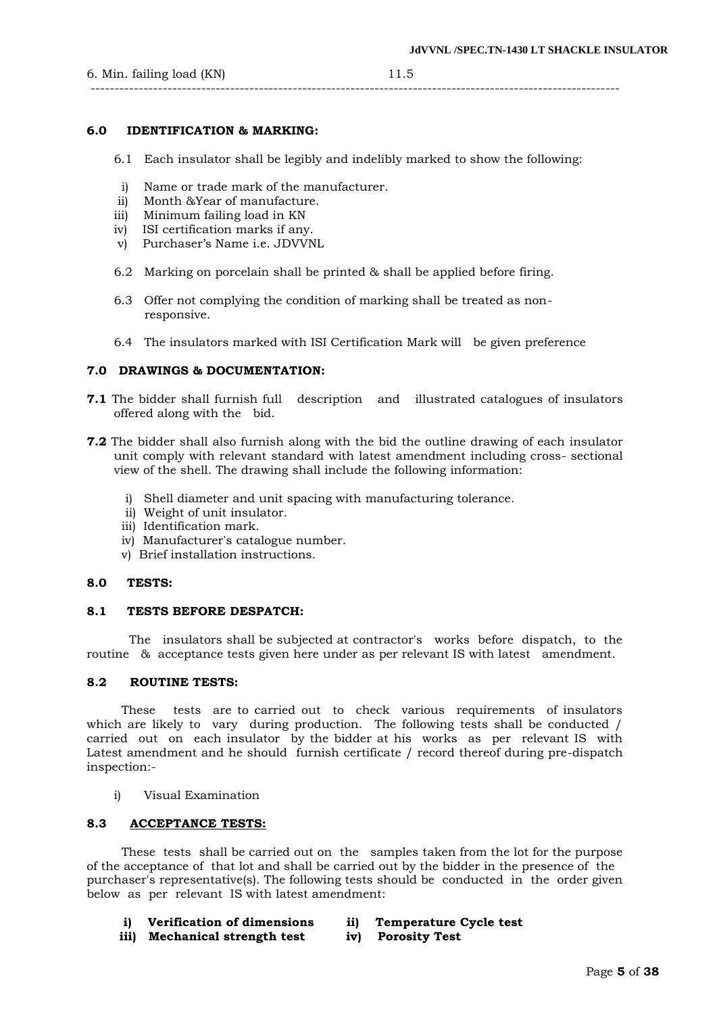#### --------------------------------------------------------------------------------------------------------------

# **6.0 IDENTIFICATION & MARKING:**

- 6.1 Each insulator shall be legibly and indelibly marked to show the following:
- i) Name or trade mark of the manufacturer.
- ii) Month &Year of manufacture.
- iii) Minimum failing load in KN
- iv) ISI certification marks if any.
- v) Purchaser"s Name i.e. JDVVNL
- 6.2 Marking on porcelain shall be printed & shall be applied before firing.
- 6.3 Offer not complying the condition of marking shall be treated as non responsive.
- 6.4 The insulators marked with ISI Certification Mark will be given preference

#### **7.0 DRAWINGS & DOCUMENTATION:**

- **7.1** The bidder shall furnish full description and illustrated catalogues of insulators offered along with the bid.
- **7.2** The bidder shall also furnish along with the bid the outline drawing of each insulator unit comply with relevant standard with latest amendment including cross- sectional view of the shell. The drawing shall include the following information:
	- i) Shell diameter and unit spacing with manufacturing tolerance.
	- ii) Weight of unit insulator.
	- iii) Identification mark.
	- iv) Manufacturer's catalogue number.
	- v) Brief installation instructions.

#### **8.0 TESTS:**

#### **8.1 TESTS BEFORE DESPATCH:**

 The insulators shall be subjected at contractor's works before dispatch, to the routine & acceptance tests given here under as per relevant IS with latest amendment.

#### **8.2 ROUTINE TESTS:**

 These tests are to carried out to check various requirements of insulators which are likely to vary during production. The following tests shall be conducted / carried out on each insulator by the bidder at his works as per relevant IS with Latest amendment and he should furnish certificate / record thereof during pre-dispatch inspection:-

i) Visual Examination

#### **8.3 ACCEPTANCE TESTS:**

 These tests shall be carried out on the samples taken from the lot for the purpose of the acceptance of that lot and shall be carried out by the bidder in the presence of the purchaser's representative(s). The following tests should be conducted in the order given below as per relevant IS with latest amendment:

- **i) Verification of dimensions ii) Temperature Cycle test**
- **iii) Mechanical strength test iv) Porosity Test**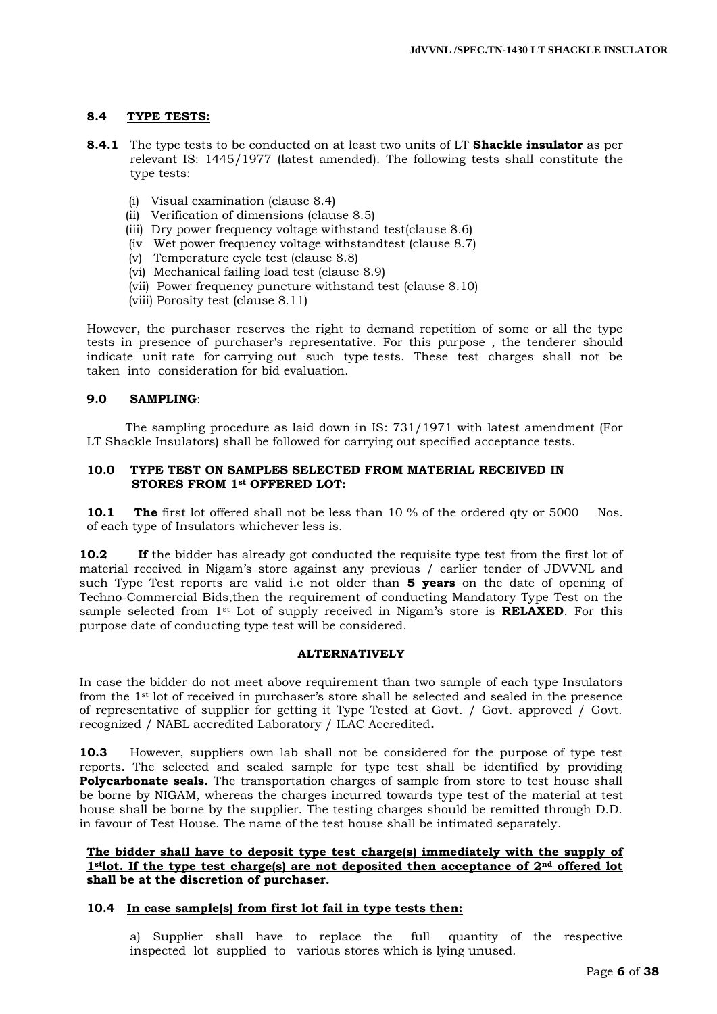# **8.4 TYPE TESTS:**

- **8.4.1** The type tests to be conducted on at least two units of LT **Shackle insulator** as per relevant IS: 1445/1977 (latest amended). The following tests shall constitute the type tests:
	- (i) Visual examination (clause 8.4)
	- (ii) Verification of dimensions (clause 8.5)
	- (iii) Dry power frequency voltage withstand test(clause 8.6)
	- (iv Wet power frequency voltage withstandtest (clause 8.7)
	- (v) Temperature cycle test (clause 8.8)
	- (vi) Mechanical failing load test (clause 8.9)
	- (vii) Power frequency puncture withstand test (clause 8.10)
	- (viii) Porosity test (clause 8.11)

However, the purchaser reserves the right to demand repetition of some or all the type tests in presence of purchaser's representative. For this purpose , the tenderer should indicate unit rate for carrying out such type tests. These test charges shall not be taken into consideration for bid evaluation.

#### **9.0 SAMPLING**:

 The sampling procedure as laid down in IS: 731/1971 with latest amendment (For LT Shackle Insulators) shall be followed for carrying out specified acceptance tests.

#### **10.0 TYPE TEST ON SAMPLES SELECTED FROM MATERIAL RECEIVED IN STORES FROM 1st OFFERED LOT:**

**10.1 The** first lot offered shall not be less than 10 % of the ordered qty or 5000 Nos. of each type of Insulators whichever less is.

**10.2 If** the bidder has already got conducted the requisite type test from the first lot of material received in Nigam"s store against any previous / earlier tender of JDVVNL and such Type Test reports are valid i.e not older than **5 years** on the date of opening of Techno-Commercial Bids,then the requirement of conducting Mandatory Type Test on the sample selected from 1<sup>st</sup> Lot of supply received in Nigam's store is **RELAXED**. For this purpose date of conducting type test will be considered.

# **ALTERNATIVELY**

In case the bidder do not meet above requirement than two sample of each type Insulators from the 1st lot of received in purchaser"s store shall be selected and sealed in the presence of representative of supplier for getting it Type Tested at Govt. / Govt. approved / Govt. recognized / NABL accredited Laboratory / ILAC Accredited**.**

**10.3** However, suppliers own lab shall not be considered for the purpose of type test reports. The selected and sealed sample for type test shall be identified by providing **Polycarbonate seals.** The transportation charges of sample from store to test house shall be borne by NIGAM, whereas the charges incurred towards type test of the material at test house shall be borne by the supplier. The testing charges should be remitted through D.D. in favour of Test House. The name of the test house shall be intimated separately.

#### **The bidder shall have to deposit type test charge(s) immediately with the supply of 1stlot. If the type test charge(s) are not deposited then acceptance of 2nd offered lot shall be at the discretion of purchaser.**

#### **10.4 In case sample(s) from first lot fail in type tests then:**

a) Supplier shall have to replace the full quantity of the respective inspected lot supplied to various stores which is lying unused.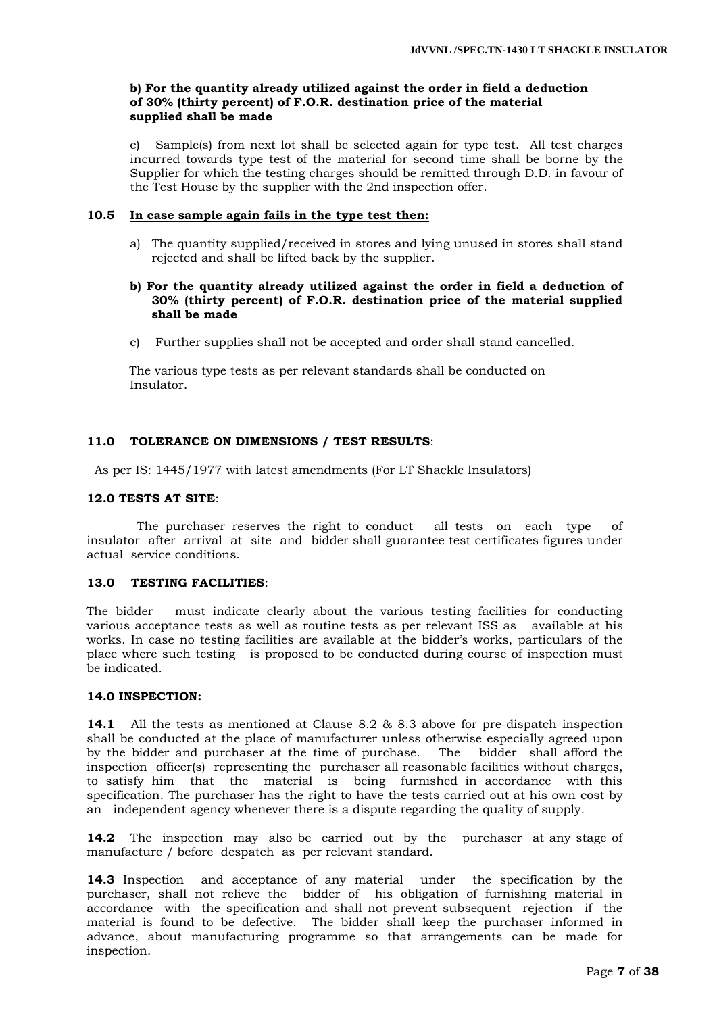# **b) For the quantity already utilized against the order in field a deduction of 30% (thirty percent) of F.O.R. destination price of the material supplied shall be made**

c) Sample(s) from next lot shall be selected again for type test. All test charges incurred towards type test of the material for second time shall be borne by the Supplier for which the testing charges should be remitted through D.D. in favour of the Test House by the supplier with the 2nd inspection offer.

#### **10.5 In case sample again fails in the type test then:**

a) The quantity supplied/received in stores and lying unused in stores shall stand rejected and shall be lifted back by the supplier.

#### **b) For the quantity already utilized against the order in field a deduction of 30% (thirty percent) of F.O.R. destination price of the material supplied shall be made**

c) Further supplies shall not be accepted and order shall stand cancelled.

 The various type tests as per relevant standards shall be conducted on Insulator.

#### **11.0 TOLERANCE ON DIMENSIONS / TEST RESULTS**:

As per IS: 1445/1977 with latest amendments (For LT Shackle Insulators)

#### **12.0 TESTS AT SITE**:

 The purchaser reserves the right to conduct all tests on each type of insulator after arrival at site and bidder shall guarantee test certificates figures under actual service conditions.

#### **13.0 TESTING FACILITIES**:

The bidder must indicate clearly about the various testing facilities for conducting various acceptance tests as well as routine tests as per relevant ISS as available at his works. In case no testing facilities are available at the bidder"s works, particulars of the place where such testing is proposed to be conducted during course of inspection must be indicated.

#### **14.0 INSPECTION:**

**14.1** All the tests as mentioned at Clause 8.2 & 8.3 above for pre-dispatch inspection shall be conducted at the place of manufacturer unless otherwise especially agreed upon by the bidder and purchaser at the time of purchase. The bidder shall afford the inspection officer(s) representing the purchaser all reasonable facilities without charges, to satisfy him that the material is being furnished in accordance with this specification. The purchaser has the right to have the tests carried out at his own cost by an independent agency whenever there is a dispute regarding the quality of supply.

**14.2** The inspection may also be carried out by the purchaser at any stage of manufacture / before despatch as per relevant standard.

**14.3** Inspection and acceptance of any material under the specification by the purchaser, shall not relieve the bidder of his obligation of furnishing material in accordance with the specification and shall not prevent subsequent rejection if the material is found to be defective. The bidder shall keep the purchaser informed in advance, about manufacturing programme so that arrangements can be made for inspection.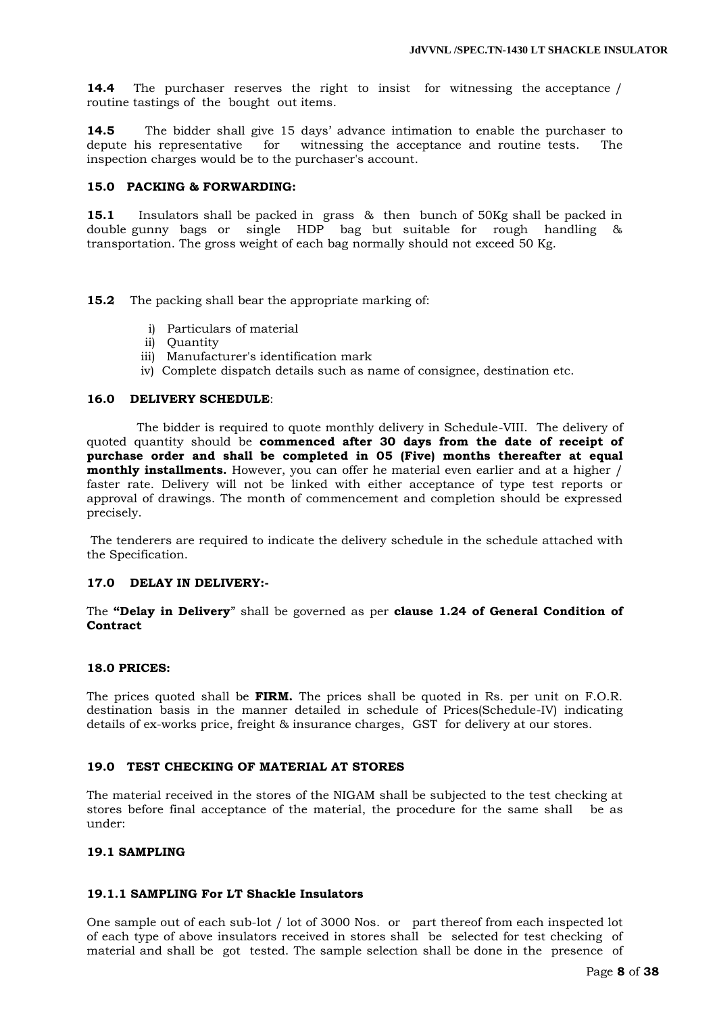**14.4** The purchaser reserves the right to insist for witnessing the acceptance / routine tastings of the bought out items.

**14.5** The bidder shall give 15 days' advance intimation to enable the purchaser to depute his representative for witnessing the acceptance and routine tests. The inspection charges would be to the purchaser's account.

#### **15.0 PACKING & FORWARDING:**

**15.1** Insulators shall be packed in grass & then bunch of 50Kg shall be packed in double gunny bags or single HDP bag but suitable for rough handling & transportation. The gross weight of each bag normally should not exceed 50 Kg.

**15.2** The packing shall bear the appropriate marking of:

- i) Particulars of material
- ii) Quantity
- iii) Manufacturer's identification mark
- iv) Complete dispatch details such as name of consignee, destination etc.

#### **16.0 DELIVERY SCHEDULE**:

 The bidder is required to quote monthly delivery in Schedule-VIII. The delivery of quoted quantity should be **commenced after 30 days from the date of receipt of purchase order and shall be completed in 05 (Five) months thereafter at equal monthly installments.** However, you can offer he material even earlier and at a higher / faster rate. Delivery will not be linked with either acceptance of type test reports or approval of drawings. The month of commencement and completion should be expressed precisely.

The tenderers are required to indicate the delivery schedule in the schedule attached with the Specification.

#### **17.0 DELAY IN DELIVERY:-**

The **"Delay in Delivery**" shall be governed as per **clause 1.24 of General Condition of Contract**

#### **18.0 PRICES:**

The prices quoted shall be **FIRM.** The prices shall be quoted in Rs. per unit on F.O.R. destination basis in the manner detailed in schedule of Prices(Schedule-IV) indicating details of ex-works price, freight & insurance charges, GST for delivery at our stores.

#### **19.0 TEST CHECKING OF MATERIAL AT STORES**

The material received in the stores of the NIGAM shall be subjected to the test checking at stores before final acceptance of the material, the procedure for the same shall be as under:

#### **19.1 SAMPLING**

# **19.1.1 SAMPLING For LT Shackle Insulators**

One sample out of each sub-lot / lot of 3000 Nos. or part thereof from each inspected lot of each type of above insulators received in stores shall be selected for test checking of material and shall be got tested. The sample selection shall be done in the presence of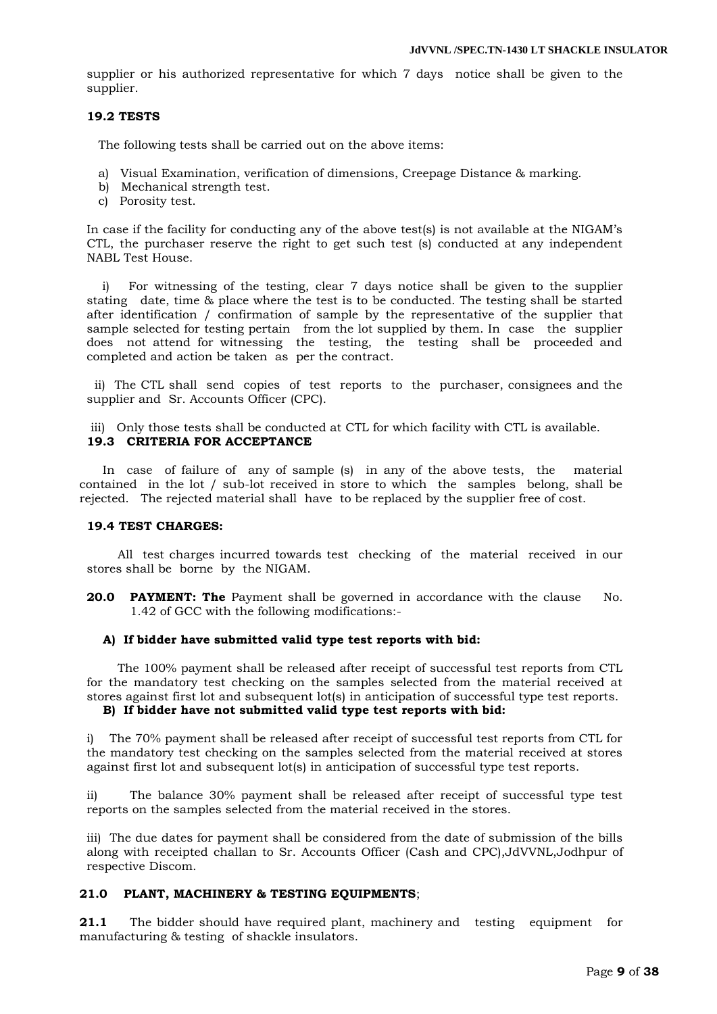supplier or his authorized representative for which 7 days notice shall be given to the supplier.

# **19.2 TESTS**

The following tests shall be carried out on the above items:

- a) Visual Examination, verification of dimensions, Creepage Distance & marking.
- b) Mechanical strength test.
- c) Porosity test.

In case if the facility for conducting any of the above test(s) is not available at the NIGAM"s CTL, the purchaser reserve the right to get such test (s) conducted at any independent NABL Test House.

 i) For witnessing of the testing, clear 7 days notice shall be given to the supplier stating date, time & place where the test is to be conducted. The testing shall be started after identification / confirmation of sample by the representative of the supplier that sample selected for testing pertain from the lot supplied by them. In case the supplier does not attend for witnessing the testing, the testing shall be proceeded and completed and action be taken as per the contract.

 ii) The CTL shall send copies of test reports to the purchaser, consignees and the supplier and Sr. Accounts Officer (CPC).

iii) Only those tests shall be conducted at CTL for which facility with CTL is available. **19.3 CRITERIA FOR ACCEPTANCE** 

 In case of failure of any of sample (s) in any of the above tests, the material contained in the lot / sub-lot received in store to which the samples belong, shall be rejected. The rejected material shall have to be replaced by the supplier free of cost.

#### **19.4 TEST CHARGES:**

 All test charges incurred towards test checking of the material received in our stores shall be borne by the NIGAM.

**20.0 PAYMENT: The** Payment shall be governed in accordance with the clause No. 1.42 of GCC with the following modifications:-

#### **A) If bidder have submitted valid type test reports with bid:**

 The 100% payment shall be released after receipt of successful test reports from CTL for the mandatory test checking on the samples selected from the material received at stores against first lot and subsequent lot(s) in anticipation of successful type test reports.

# **B) If bidder have not submitted valid type test reports with bid:**

i) The 70% payment shall be released after receipt of successful test reports from CTL for the mandatory test checking on the samples selected from the material received at stores against first lot and subsequent lot(s) in anticipation of successful type test reports.

ii) The balance 30% payment shall be released after receipt of successful type test reports on the samples selected from the material received in the stores.

iii) The due dates for payment shall be considered from the date of submission of the bills along with receipted challan to Sr. Accounts Officer (Cash and CPC),JdVVNL,Jodhpur of respective Discom.

#### **21.0 PLANT, MACHINERY & TESTING EQUIPMENTS**;

**21.1** The bidder should have required plant, machinery and testing equipment for manufacturing & testing of shackle insulators.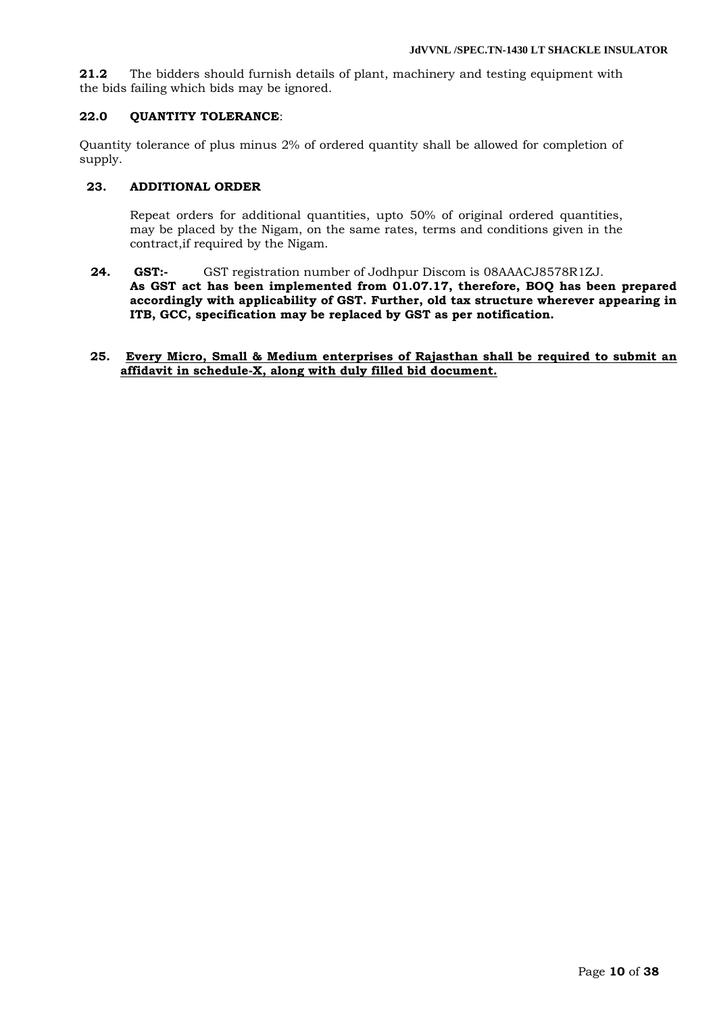**21.2** The bidders should furnish details of plant, machinery and testing equipment with the bids failing which bids may be ignored.

#### **22.0 QUANTITY TOLERANCE**:

Quantity tolerance of plus minus 2% of ordered quantity shall be allowed for completion of supply.

# **23. ADDITIONAL ORDER**

Repeat orders for additional quantities, upto 50% of original ordered quantities, may be placed by the Nigam, on the same rates, terms and conditions given in the contract,if required by the Nigam.

**24. GST:-** GST registration number of Jodhpur Discom is 08AAACJ8578R1ZJ. **As GST act has been implemented from 01.07.17, therefore, BOQ has been prepared accordingly with applicability of GST. Further, old tax structure wherever appearing in ITB, GCC, specification may be replaced by GST as per notification.**

#### **25. Every Micro, Small & Medium enterprises of Rajasthan shall be required to submit an affidavit in schedule-X, along with duly filled bid document.**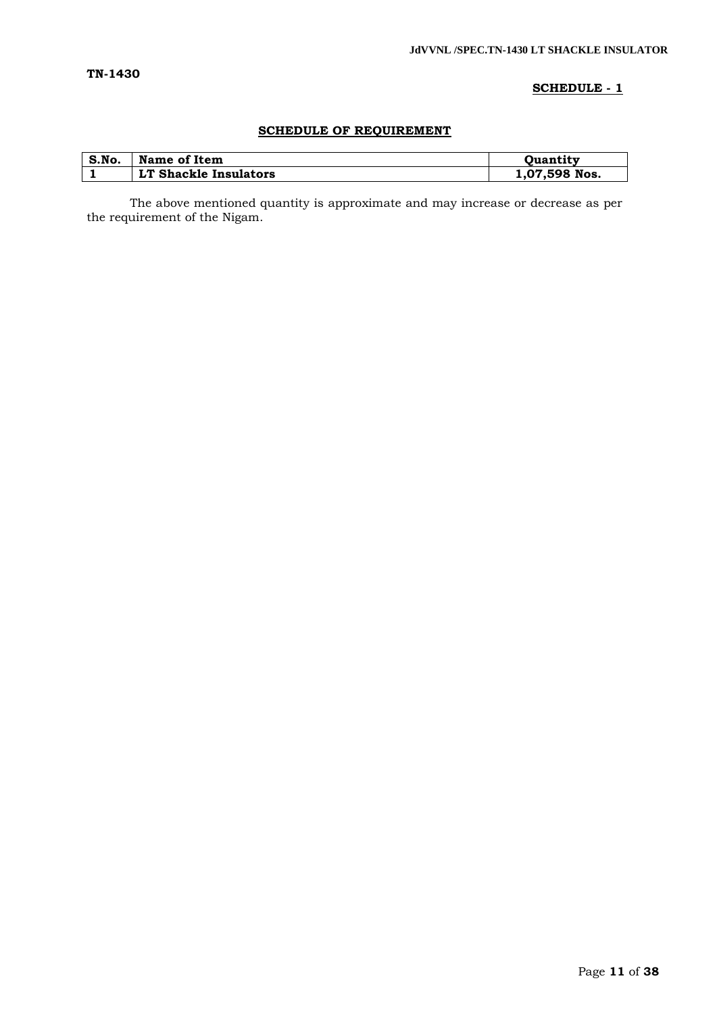# **SCHEDULE - 1**

# **SCHEDULE OF REQUIREMENT**

| S.No. | Name of Item          | <b>Ouantity</b> |
|-------|-----------------------|-----------------|
|       | LT Shackle Insulators | 1,07,598 Nos.   |

The above mentioned quantity is approximate and may increase or decrease as per the requirement of the Nigam.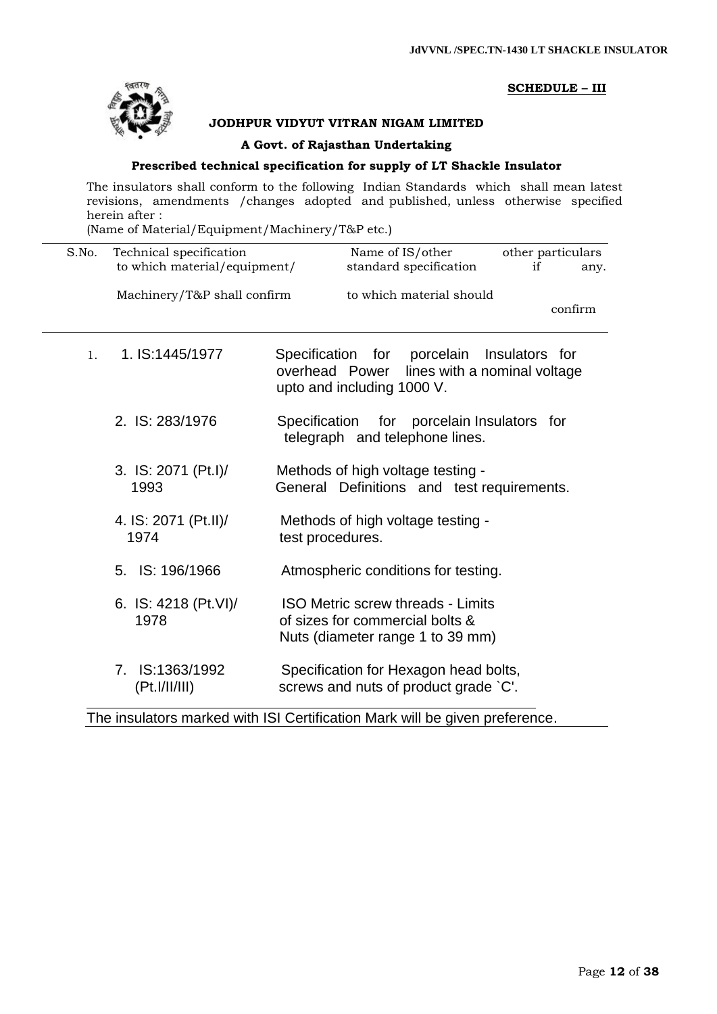

# **SCHEDULE – III**

# **JODHPUR VIDYUT VITRAN NIGAM LIMITED**

#### **A Govt. of Rajasthan Undertaking**

# **Prescribed technical specification for supply of LT Shackle Insulator**

The insulators shall conform to the following Indian Standards which shall mean latest revisions, amendments /changes adopted and published, unless otherwise specified herein after :

(Name of Material/Equipment/Machinery/T&P etc.)

| S.No.          | Technical specification<br>to which material/equipment/ | Name of IS/other<br>other particulars<br>standard specification<br>if<br>any.                                                 |
|----------------|---------------------------------------------------------|-------------------------------------------------------------------------------------------------------------------------------|
|                | Machinery/T&P shall confirm                             | to which material should<br>confirm                                                                                           |
| 1 <sub>1</sub> | 1. IS:1445/1977                                         | Specification for porcelain<br>Insulators for<br>overhead Power<br>lines with a nominal voltage<br>upto and including 1000 V. |
|                | 2. IS: 283/1976                                         | Specification for porcelain Insulators for<br>telegraph and telephone lines.                                                  |
|                | 3. IS: 2071 (Pt.I)/<br>1993                             | Methods of high voltage testing -<br>General Definitions and test requirements.                                               |
|                | 4. IS: 2071 (Pt.II)/<br>1974                            | Methods of high voltage testing -<br>test procedures.                                                                         |
|                | 5. IS: 196/1966                                         | Atmospheric conditions for testing.                                                                                           |
|                | 6. IS: 4218 (Pt.VI)/<br>1978                            | <b>ISO Metric screw threads - Limits</b><br>of sizes for commercial bolts &<br>Nuts (diameter range 1 to 39 mm)               |
|                | 7. IS:1363/1992<br>(Pt.I/II/III)                        | Specification for Hexagon head bolts,<br>screws and nuts of product grade `C'.                                                |

The insulators marked with ISI Certification Mark will be given preference.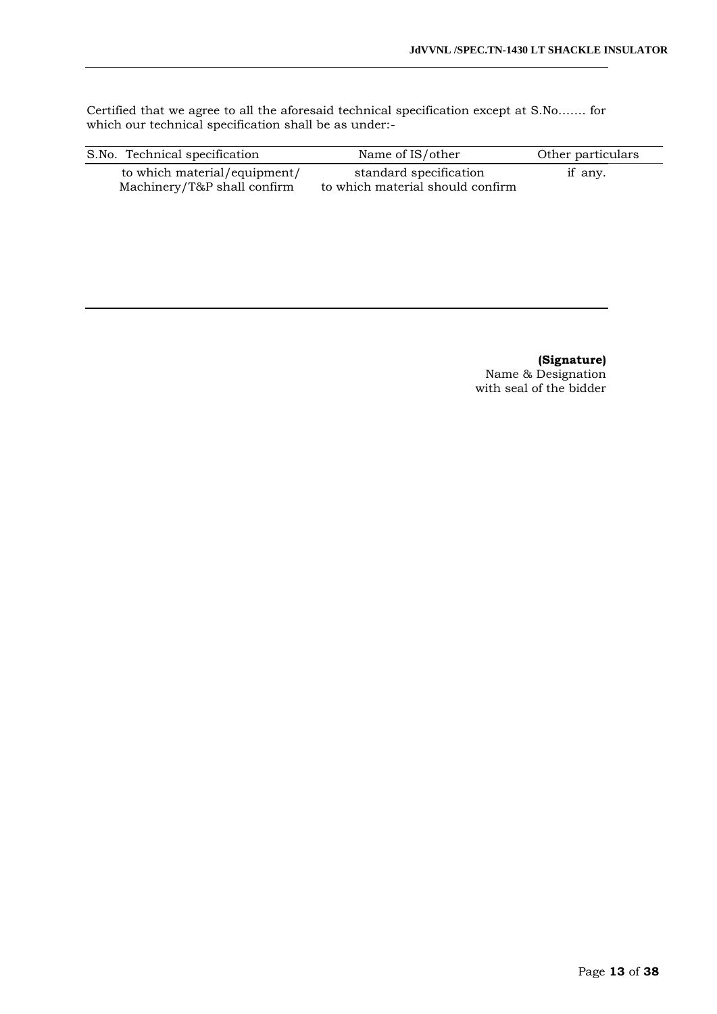Certified that we agree to all the aforesaid technical specification except at S.No……. for which our technical specification shall be as under:-

| S.No. Technical specification                               | Name of IS/other                                           | Other particulars |
|-------------------------------------------------------------|------------------------------------------------------------|-------------------|
| to which material/equipment/<br>Machinery/T&P shall confirm | standard specification<br>to which material should confirm | if any.           |

**(Signature)** Name & Designation with seal of the bidder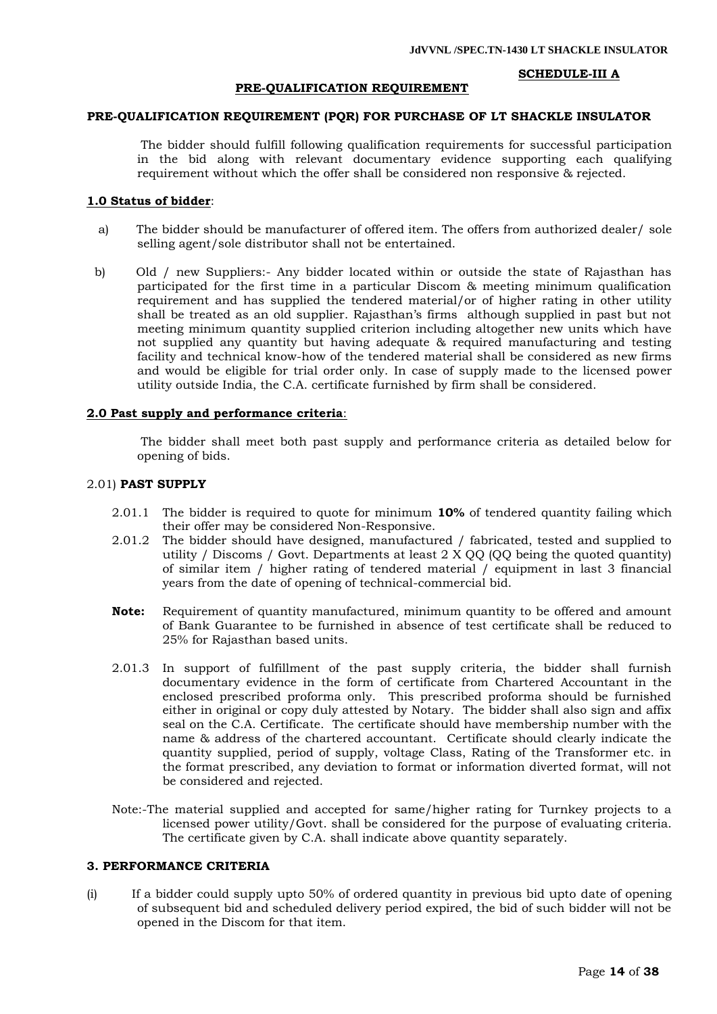#### **SCHEDULE-III A**

#### **PRE-QUALIFICATION REQUIREMENT**

#### **PRE-QUALIFICATION REQUIREMENT (PQR) FOR PURCHASE OF LT SHACKLE INSULATOR**

 The bidder should fulfill following qualification requirements for successful participation in the bid along with relevant documentary evidence supporting each qualifying requirement without which the offer shall be considered non responsive & rejected.

#### **1.0 Status of bidder**:

- a) The bidder should be manufacturer of offered item. The offers from authorized dealer/ sole selling agent/sole distributor shall not be entertained.
- b) Old / new Suppliers:- Any bidder located within or outside the state of Rajasthan has participated for the first time in a particular Discom & meeting minimum qualification requirement and has supplied the tendered material/or of higher rating in other utility shall be treated as an old supplier. Rajasthan"s firms although supplied in past but not meeting minimum quantity supplied criterion including altogether new units which have not supplied any quantity but having adequate & required manufacturing and testing facility and technical know-how of the tendered material shall be considered as new firms and would be eligible for trial order only. In case of supply made to the licensed power utility outside India, the C.A. certificate furnished by firm shall be considered.

#### **2.0 Past supply and performance criteria**:

 The bidder shall meet both past supply and performance criteria as detailed below for opening of bids.

#### 2.01) **PAST SUPPLY**

- 2.01.1 The bidder is required to quote for minimum **10%** of tendered quantity failing which their offer may be considered Non-Responsive.
- 2.01.2 The bidder should have designed, manufactured / fabricated, tested and supplied to utility / Discoms / Govt. Departments at least 2 X QQ (QQ being the quoted quantity) of similar item / higher rating of tendered material / equipment in last 3 financial years from the date of opening of technical-commercial bid.
- **Note:** Requirement of quantity manufactured, minimum quantity to be offered and amount of Bank Guarantee to be furnished in absence of test certificate shall be reduced to 25% for Rajasthan based units.
- 2.01.3 In support of fulfillment of the past supply criteria, the bidder shall furnish documentary evidence in the form of certificate from Chartered Accountant in the enclosed prescribed proforma only. This prescribed proforma should be furnished either in original or copy duly attested by Notary. The bidder shall also sign and affix seal on the C.A. Certificate. The certificate should have membership number with the name & address of the chartered accountant. Certificate should clearly indicate the quantity supplied, period of supply, voltage Class, Rating of the Transformer etc. in the format prescribed, any deviation to format or information diverted format, will not be considered and rejected.
- Note:-The material supplied and accepted for same/higher rating for Turnkey projects to a licensed power utility/Govt. shall be considered for the purpose of evaluating criteria. The certificate given by C.A. shall indicate above quantity separately.

#### **3. PERFORMANCE CRITERIA**

(i) If a bidder could supply upto 50% of ordered quantity in previous bid upto date of opening of subsequent bid and scheduled delivery period expired, the bid of such bidder will not be opened in the Discom for that item.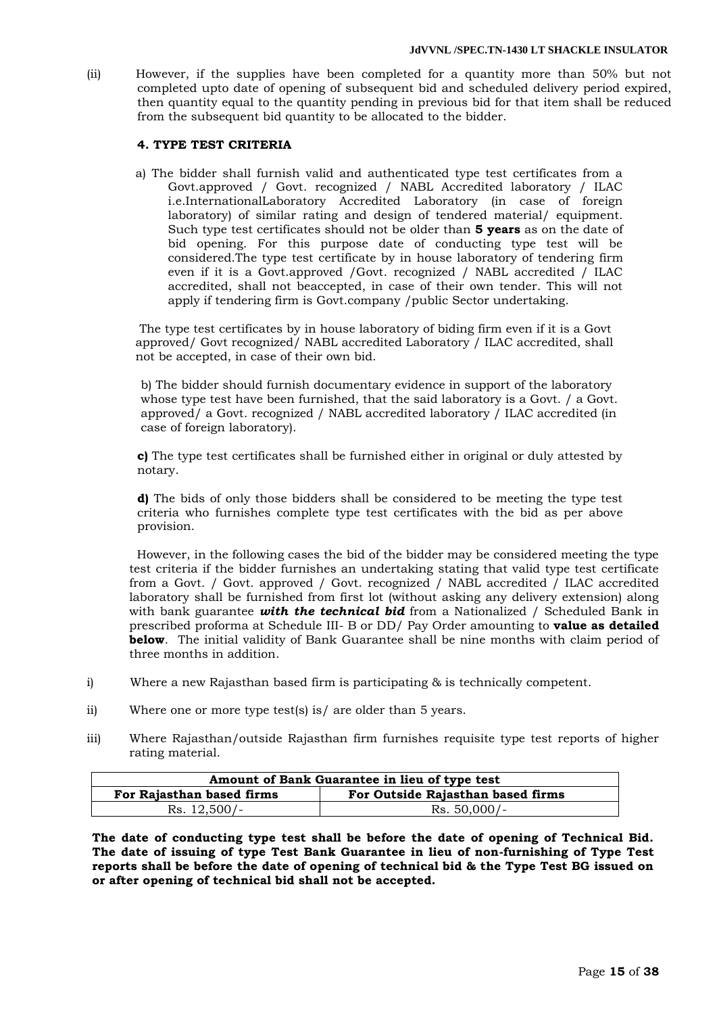(ii) However, if the supplies have been completed for a quantity more than 50% but not completed upto date of opening of subsequent bid and scheduled delivery period expired, then quantity equal to the quantity pending in previous bid for that item shall be reduced from the subsequent bid quantity to be allocated to the bidder.

# **4. TYPE TEST CRITERIA**

a) The bidder shall furnish valid and authenticated type test certificates from a Govt.approved / Govt. recognized / NABL Accredited laboratory / ILAC i.e.InternationalLaboratory Accredited Laboratory (in case of foreign laboratory) of similar rating and design of tendered material/ equipment. Such type test certificates should not be older than **5 years** as on the date of bid opening. For this purpose date of conducting type test will be considered.The type test certificate by in house laboratory of tendering firm even if it is a Govt.approved /Govt. recognized / NABL accredited / ILAC accredited, shall not beaccepted, in case of their own tender. This will not apply if tendering firm is Govt.company /public Sector undertaking.

The type test certificates by in house laboratory of biding firm even if it is a Govt approved/ Govt recognized/ NABL accredited Laboratory / ILAC accredited, shall not be accepted, in case of their own bid.

b) The bidder should furnish documentary evidence in support of the laboratory whose type test have been furnished, that the said laboratory is a Govt. / a Govt. approved/ a Govt. recognized / NABL accredited laboratory / ILAC accredited (in case of foreign laboratory).

**c)** The type test certificates shall be furnished either in original or duly attested by notary.

**d)** The bids of only those bidders shall be considered to be meeting the type test criteria who furnishes complete type test certificates with the bid as per above provision.

 However, in the following cases the bid of the bidder may be considered meeting the type test criteria if the bidder furnishes an undertaking stating that valid type test certificate from a Govt. / Govt. approved / Govt. recognized / NABL accredited / ILAC accredited laboratory shall be furnished from first lot (without asking any delivery extension) along with bank guarantee *with the technical bid* from a Nationalized / Scheduled Bank in prescribed proforma at Schedule III- B or DD/ Pay Order amounting to **value as detailed below**. The initial validity of Bank Guarantee shall be nine months with claim period of three months in addition.

- i) Where a new Rajasthan based firm is participating & is technically competent.
- ii) Where one or more type test(s) is/ are older than 5 years.
- iii) Where Rajasthan/outside Rajasthan firm furnishes requisite type test reports of higher rating material.

| Amount of Bank Guarantee in lieu of type test |                                   |  |
|-----------------------------------------------|-----------------------------------|--|
| For Rajasthan based firms                     | For Outside Rajasthan based firms |  |
| $Rs. 12,500/-$                                | $Rs. 50,000/-$                    |  |

**The date of conducting type test shall be before the date of opening of Technical Bid. The date of issuing of type Test Bank Guarantee in lieu of non-furnishing of Type Test reports shall be before the date of opening of technical bid & the Type Test BG issued on or after opening of technical bid shall not be accepted.**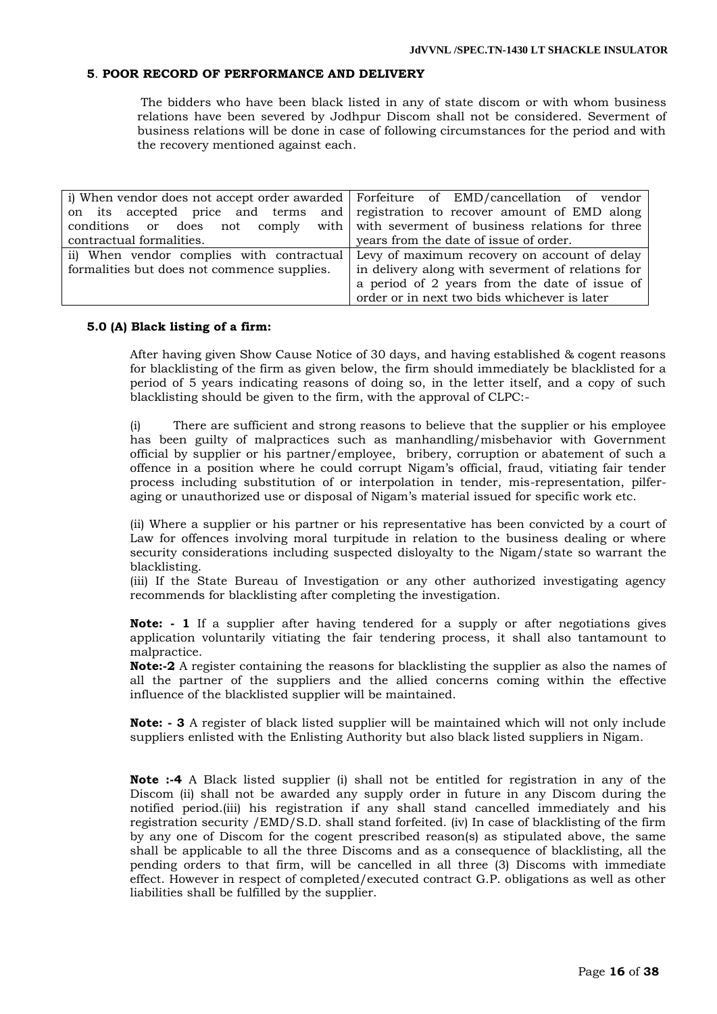#### **5**. **POOR RECORD OF PERFORMANCE AND DELIVERY**

 The bidders who have been black listed in any of state discom or with whom business relations have been severed by Jodhpur Discom shall not be considered. Severment of business relations will be done in case of following circumstances for the period and with the recovery mentioned against each.

|                                             | i) When vendor does not accept order awarded   Forfeiture of EMD/cancellation of vendor |
|---------------------------------------------|-----------------------------------------------------------------------------------------|
|                                             | on its accepted price and terms and registration to recover amount of EMD along         |
|                                             | conditions or does not comply with with severment of business relations for three       |
| contractual formalities.                    | years from the date of issue of order.                                                  |
|                                             | ii) When vendor complies with contractual Levy of maximum recovery on account of delay  |
| formalities but does not commence supplies. | in delivery along with severment of relations for                                       |
|                                             | a period of 2 years from the date of issue of                                           |
|                                             | order or in next two bids whichever is later                                            |

#### **5.0 (A) Black listing of a firm:**

After having given Show Cause Notice of 30 days, and having established & cogent reasons for blacklisting of the firm as given below, the firm should immediately be blacklisted for a period of 5 years indicating reasons of doing so, in the letter itself, and a copy of such blacklisting should be given to the firm, with the approval of CLPC:-

There are sufficient and strong reasons to believe that the supplier or his employee has been guilty of malpractices such as manhandling/misbehavior with Government official by supplier or his partner/employee, bribery, corruption or abatement of such a offence in a position where he could corrupt Nigam"s official, fraud, vitiating fair tender process including substitution of or interpolation in tender, mis-representation, pilferaging or unauthorized use or disposal of Nigam"s material issued for specific work etc.

(ii) Where a supplier or his partner or his representative has been convicted by a court of Law for offences involving moral turpitude in relation to the business dealing or where security considerations including suspected disloyalty to the Nigam/state so warrant the blacklisting.

(iii) If the State Bureau of Investigation or any other authorized investigating agency recommends for blacklisting after completing the investigation.

**Note: - 1** If a supplier after having tendered for a supply or after negotiations gives application voluntarily vitiating the fair tendering process, it shall also tantamount to malpractice.

**Note:-2** A register containing the reasons for blacklisting the supplier as also the names of all the partner of the suppliers and the allied concerns coming within the effective influence of the blacklisted supplier will be maintained.

**Note: - 3** A register of black listed supplier will be maintained which will not only include suppliers enlisted with the Enlisting Authority but also black listed suppliers in Nigam.

**Note :-4** A Black listed supplier (i) shall not be entitled for registration in any of the Discom (ii) shall not be awarded any supply order in future in any Discom during the notified period.(iii) his registration if any shall stand cancelled immediately and his registration security /EMD/S.D. shall stand forfeited. (iv) In case of blacklisting of the firm by any one of Discom for the cogent prescribed reason(s) as stipulated above, the same shall be applicable to all the three Discoms and as a consequence of blacklisting, all the pending orders to that firm, will be cancelled in all three (3) Discoms with immediate effect. However in respect of completed/executed contract G.P. obligations as well as other liabilities shall be fulfilled by the supplier.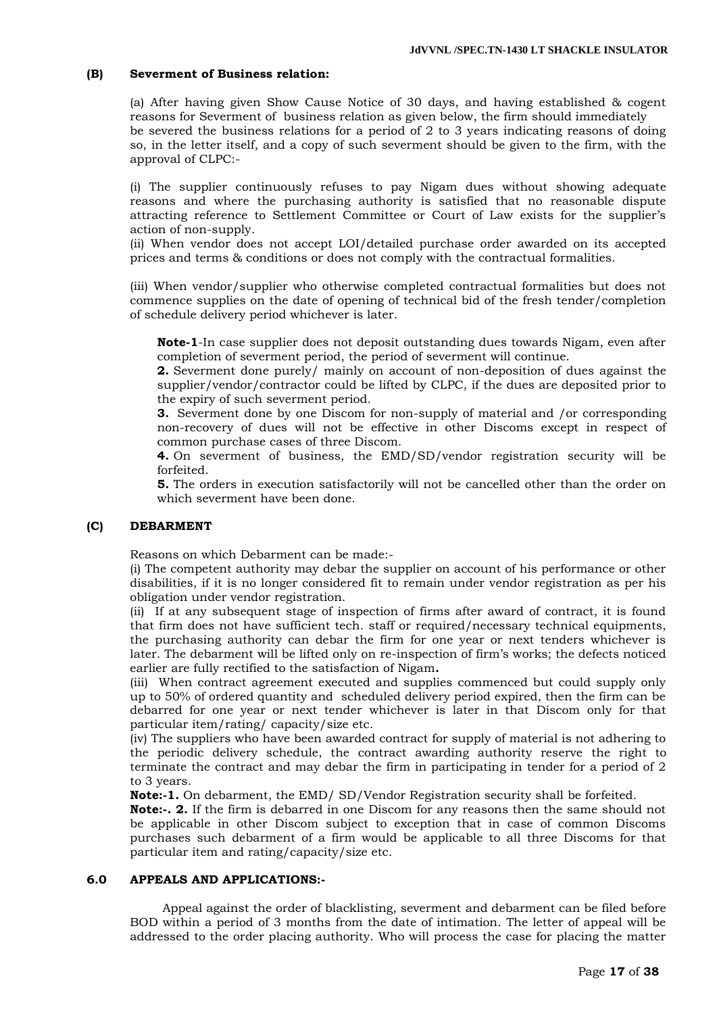# **(B) Severment of Business relation:**

(a) After having given Show Cause Notice of 30 days, and having established & cogent reasons for Severment of business relation as given below, the firm should immediately be severed the business relations for a period of 2 to 3 years indicating reasons of doing so, in the letter itself, and a copy of such severment should be given to the firm, with the approval of CLPC:-

(i) The supplier continuously refuses to pay Nigam dues without showing adequate reasons and where the purchasing authority is satisfied that no reasonable dispute attracting reference to Settlement Committee or Court of Law exists for the supplier"s action of non-supply.

(ii) When vendor does not accept LOI/detailed purchase order awarded on its accepted prices and terms & conditions or does not comply with the contractual formalities.

(iii) When vendor/supplier who otherwise completed contractual formalities but does not commence supplies on the date of opening of technical bid of the fresh tender/completion of schedule delivery period whichever is later.

**Note-1**-In case supplier does not deposit outstanding dues towards Nigam, even after completion of severment period, the period of severment will continue.

**2.** Severment done purely/ mainly on account of non-deposition of dues against the supplier/vendor/contractor could be lifted by CLPC, if the dues are deposited prior to the expiry of such severment period.

**3.** Severment done by one Discom for non-supply of material and /or corresponding non-recovery of dues will not be effective in other Discoms except in respect of common purchase cases of three Discom.

**4.** On severment of business, the EMD/SD/vendor registration security will be forfeited.

**5.** The orders in execution satisfactorily will not be cancelled other than the order on which severment have been done.

#### **(C) DEBARMENT**

Reasons on which Debarment can be made:-

(i) The competent authority may debar the supplier on account of his performance or other disabilities, if it is no longer considered fit to remain under vendor registration as per his obligation under vendor registration.

(ii) If at any subsequent stage of inspection of firms after award of contract, it is found that firm does not have sufficient tech. staff or required/necessary technical equipments, the purchasing authority can debar the firm for one year or next tenders whichever is later. The debarment will be lifted only on re-inspection of firm"s works; the defects noticed earlier are fully rectified to the satisfaction of Nigam**.** 

(iii) When contract agreement executed and supplies commenced but could supply only up to 50% of ordered quantity and scheduled delivery period expired, then the firm can be debarred for one year or next tender whichever is later in that Discom only for that particular item/rating/ capacity/size etc.

(iv) The suppliers who have been awarded contract for supply of material is not adhering to the periodic delivery schedule, the contract awarding authority reserve the right to terminate the contract and may debar the firm in participating in tender for a period of 2 to 3 years.

**Note:-1.** On debarment, the EMD/ SD/Vendor Registration security shall be forfeited.

**Note:-. 2.** If the firm is debarred in one Discom for any reasons then the same should not be applicable in other Discom subject to exception that in case of common Discoms purchases such debarment of a firm would be applicable to all three Discoms for that particular item and rating/capacity/size etc.

#### **6.0 APPEALS AND APPLICATIONS:-**

Appeal against the order of blacklisting, severment and debarment can be filed before BOD within a period of 3 months from the date of intimation. The letter of appeal will be addressed to the order placing authority. Who will process the case for placing the matter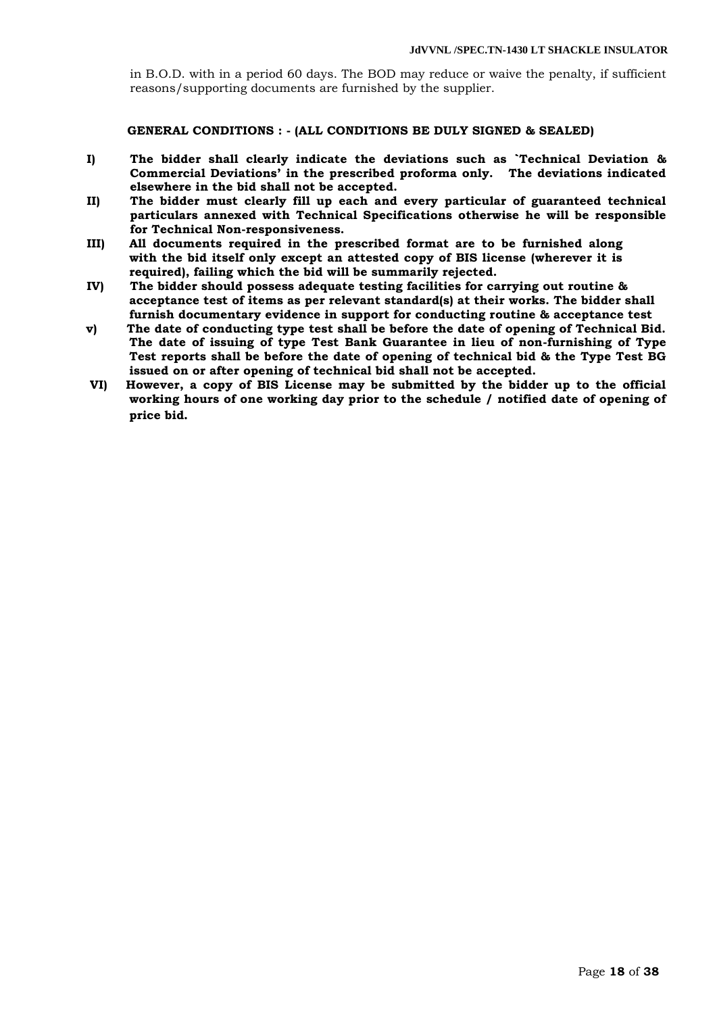in B.O.D. with in a period 60 days. The BOD may reduce or waive the penalty, if sufficient reasons/supporting documents are furnished by the supplier.

**GENERAL CONDITIONS : - (ALL CONDITIONS BE DULY SIGNED & SEALED)**

- **I) The bidder shall clearly indicate the deviations such as `Technical Deviation & Commercial Deviations' in the prescribed proforma only. The deviations indicated elsewhere in the bid shall not be accepted.**
- **II) The bidder must clearly fill up each and every particular of guaranteed technical particulars annexed with Technical Specifications otherwise he will be responsible for Technical Non-responsiveness.**
- **III) All documents required in the prescribed format are to be furnished along with the bid itself only except an attested copy of BIS license (wherever it is required), failing which the bid will be summarily rejected.**
- **IV) The bidder should possess adequate testing facilities for carrying out routine & acceptance test of items as per relevant standard(s) at their works. The bidder shall furnish documentary evidence in support for conducting routine & acceptance test**
- **v) The date of conducting type test shall be before the date of opening of Technical Bid. The date of issuing of type Test Bank Guarantee in lieu of non-furnishing of Type Test reports shall be before the date of opening of technical bid & the Type Test BG issued on or after opening of technical bid shall not be accepted.**
- **VI) However, a copy of BIS License may be submitted by the bidder up to the official working hours of one working day prior to the schedule / notified date of opening of price bid.**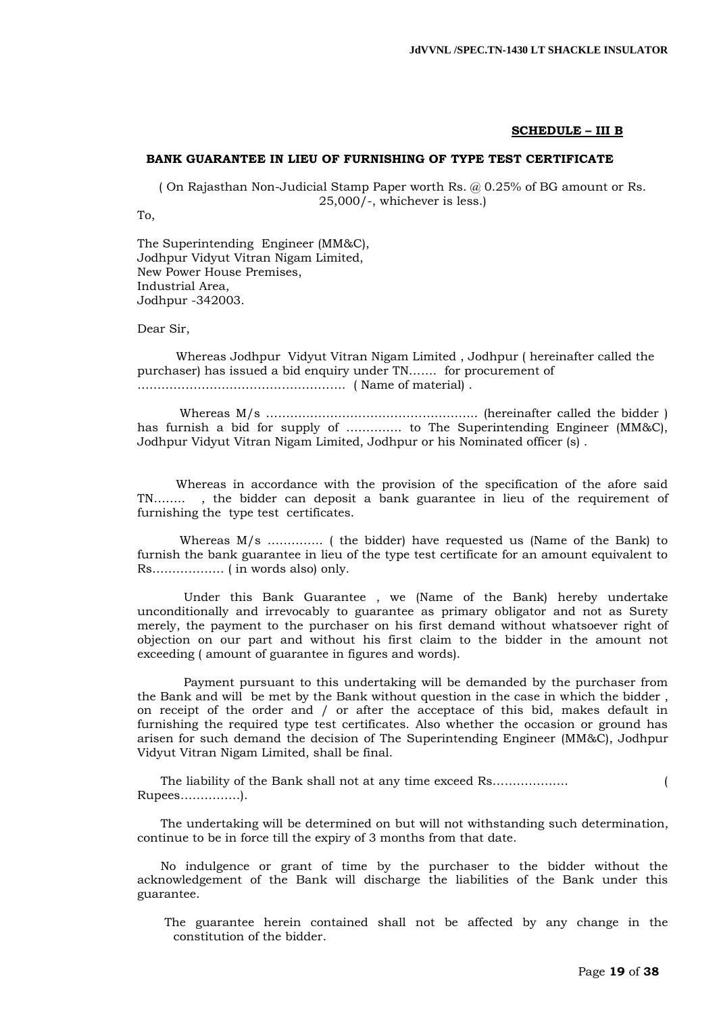#### **SCHEDULE – III B**

#### **BANK GUARANTEE IN LIEU OF FURNISHING OF TYPE TEST CERTIFICATE**

( On Rajasthan Non-Judicial Stamp Paper worth Rs. @ 0.25% of BG amount or Rs. 25,000/-, whichever is less.)

To,

The Superintending Engineer (MM&C), Jodhpur Vidyut Vitran Nigam Limited, New Power House Premises, Industrial Area, Jodhpur -342003.

Dear Sir,

 Whereas Jodhpur Vidyut Vitran Nigam Limited , Jodhpur ( hereinafter called the purchaser) has issued a bid enquiry under TN……. for procurement of ……………………………………………. ( Name of material) .

 Whereas M/s …………………………………………….. (hereinafter called the bidder ) has furnish a bid for supply of ………….. to The Superintending Engineer (MM&C), Jodhpur Vidyut Vitran Nigam Limited, Jodhpur or his Nominated officer (s) .

 Whereas in accordance with the provision of the specification of the afore said TN…….. , the bidder can deposit a bank guarantee in lieu of the requirement of furnishing the type test certificates.

 Whereas M/s ………….. ( the bidder) have requested us (Name of the Bank) to furnish the bank guarantee in lieu of the type test certificate for an amount equivalent to Rs……………… ( in words also) only.

 Under this Bank Guarantee , we (Name of the Bank) hereby undertake unconditionally and irrevocably to guarantee as primary obligator and not as Surety merely, the payment to the purchaser on his first demand without whatsoever right of objection on our part and without his first claim to the bidder in the amount not exceeding ( amount of guarantee in figures and words).

 Payment pursuant to this undertaking will be demanded by the purchaser from the Bank and will be met by the Bank without question in the case in which the bidder , on receipt of the order and / or after the acceptace of this bid, makes default in furnishing the required type test certificates. Also whether the occasion or ground has arisen for such demand the decision of The Superintending Engineer (MM&C), Jodhpur Vidyut Vitran Nigam Limited, shall be final.

 The liability of the Bank shall not at any time exceed Rs………………. ( Rupees……………).

 The undertaking will be determined on but will not withstanding such determination, continue to be in force till the expiry of 3 months from that date.

 No indulgence or grant of time by the purchaser to the bidder without the acknowledgement of the Bank will discharge the liabilities of the Bank under this guarantee.

 The guarantee herein contained shall not be affected by any change in the constitution of the bidder.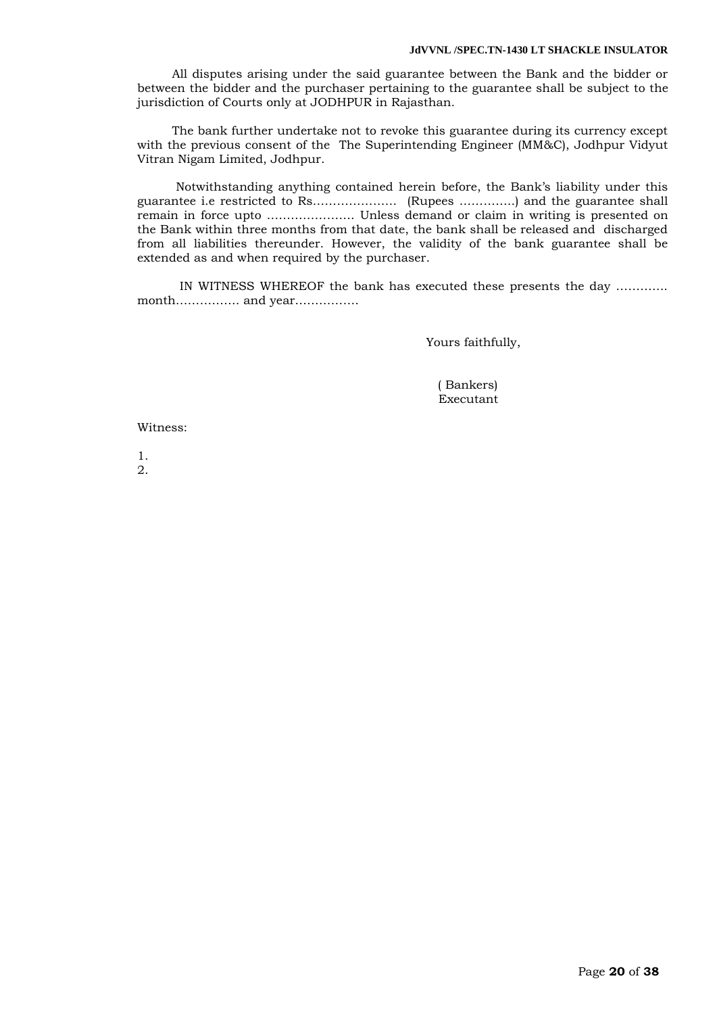#### **JdVVNL /SPEC.TN-1430 LT SHACKLE INSULATOR**

 All disputes arising under the said guarantee between the Bank and the bidder or between the bidder and the purchaser pertaining to the guarantee shall be subject to the jurisdiction of Courts only at JODHPUR in Rajasthan.

 The bank further undertake not to revoke this guarantee during its currency except with the previous consent of the The Superintending Engineer (MM&C), Jodhpur Vidyut Vitran Nigam Limited, Jodhpur.

 Notwithstanding anything contained herein before, the Bank"s liability under this guarantee i.e restricted to Rs………………… (Rupees …………..) and the guarantee shall remain in force upto …………………. Unless demand or claim in writing is presented on the Bank within three months from that date, the bank shall be released and discharged from all liabilities thereunder. However, the validity of the bank guarantee shall be extended as and when required by the purchaser.

 IN WITNESS WHEREOF the bank has executed these presents the day …………. month……………. and year…………….

Yours faithfully,

 ( Bankers) Executant

Witness:

1. 2.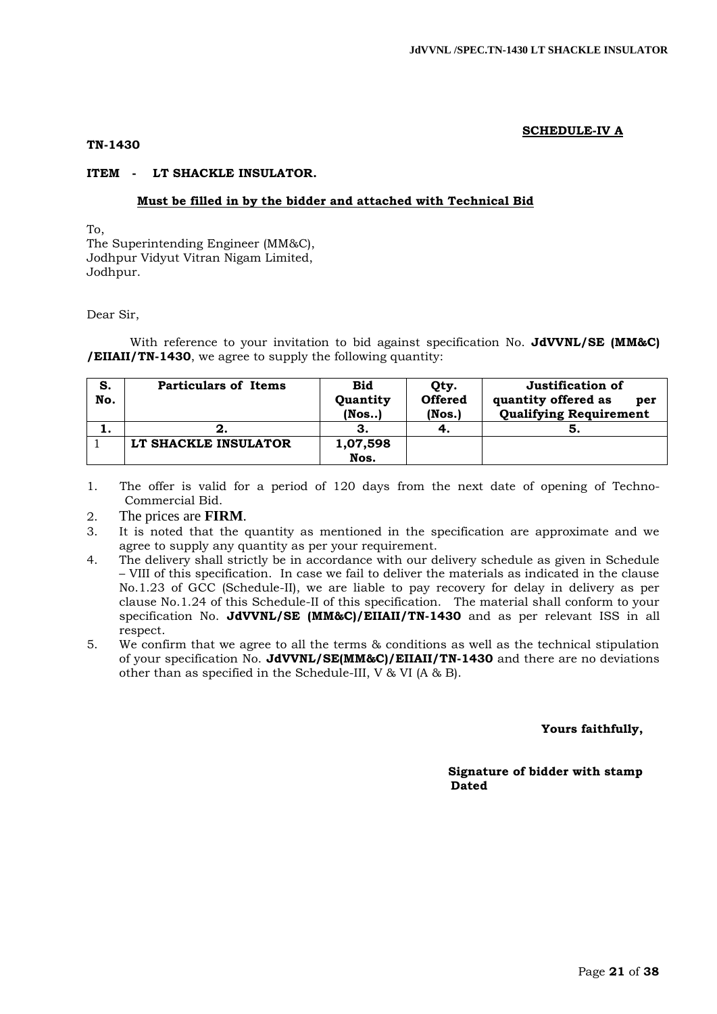# **SCHEDULE-IV A**

#### **TN-1430**

#### **ITEM - LT SHACKLE INSULATOR.**

#### **Must be filled in by the bidder and attached with Technical Bid**

To,

The Superintending Engineer (MM&C), Jodhpur Vidyut Vitran Nigam Limited, Jodhpur.

#### Dear Sir,

With reference to your invitation to bid against specification No. **JdVVNL/SE (MM&C) /EIIAII/TN-1430**, we agree to supply the following quantity:

| S.<br>No. | <b>Particulars of Items</b> | <b>Bid</b><br>Quantity<br>$($ Nos $)$ | Qty.<br><b>Offered</b><br>$($ Nos. $)$ | Justification of<br>quantity offered as<br>per<br><b>Qualifying Requirement</b> |
|-----------|-----------------------------|---------------------------------------|----------------------------------------|---------------------------------------------------------------------------------|
|           |                             |                                       | -4.                                    | G                                                                               |
|           | LT SHACKLE INSULATOR        | 1,07,598                              |                                        |                                                                                 |
|           |                             | Nos.                                  |                                        |                                                                                 |

1. The offer is valid for a period of 120 days from the next date of opening of Techno-Commercial Bid.

2. The prices are **FIRM**.

- 3. It is noted that the quantity as mentioned in the specification are approximate and we agree to supply any quantity as per your requirement.
- 4. The delivery shall strictly be in accordance with our delivery schedule as given in Schedule – VIII of this specification. In case we fail to deliver the materials as indicated in the clause No.1.23 of GCC (Schedule-II), we are liable to pay recovery for delay in delivery as per clause No.1.24 of this Schedule-II of this specification. The material shall conform to your specification No. **JdVVNL/SE (MM&C)/EIIAII/TN-1430** and as per relevant ISS in all respect.
- 5. We confirm that we agree to all the terms & conditions as well as the technical stipulation of your specification No. **JdVVNL/SE(MM&C)/EIIAII/TN-1430** and there are no deviations other than as specified in the Schedule-III, V & VI (A & B).

 **Yours faithfully,** 

 **Signature of bidder with stamp**  *Dated* **Dated**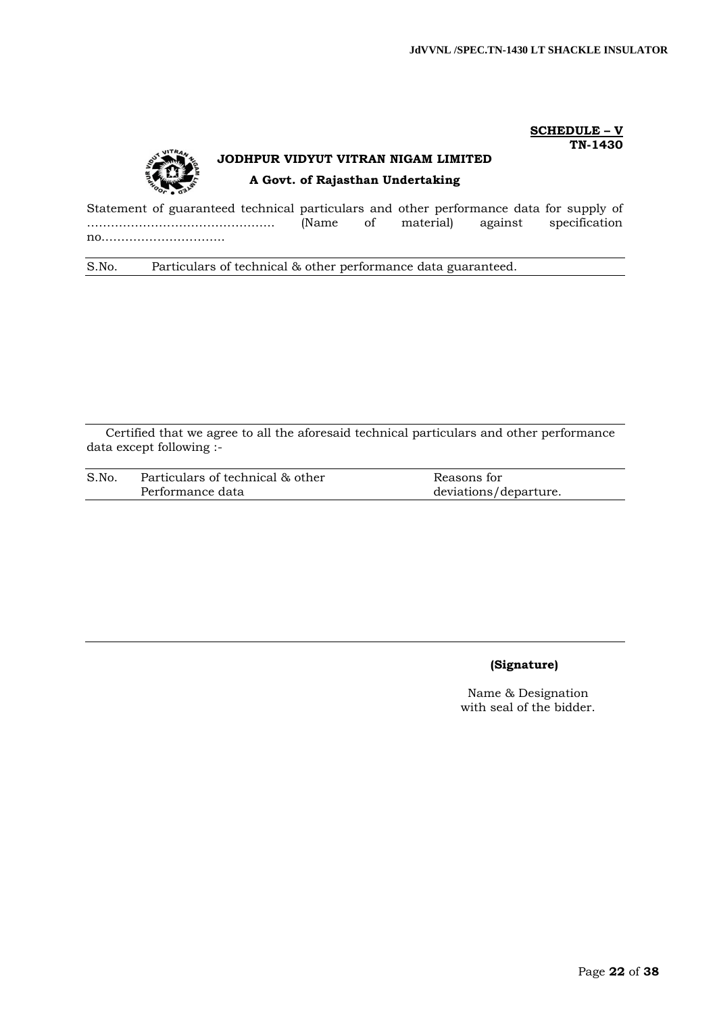**SCHEDULE – V TN-1430**

# **JODHPUR VIDYUT VITRAN NIGAM LIMITED A Govt. of Rajasthan Undertaking**

Statement of guaranteed technical particulars and other performance data for supply of ……………………………………….. (Name of material) against specification no..………………………..

S.No. Particulars of technical & other performance data guaranteed.

Certified that we agree to all the aforesaid technical particulars and other performance data except following :-

| S.No. | Particulars of technical & other | Reasons for           |
|-------|----------------------------------|-----------------------|
|       | Performance data                 | deviations/departure. |

# **(Signature)**

Name & Designation with seal of the bidder.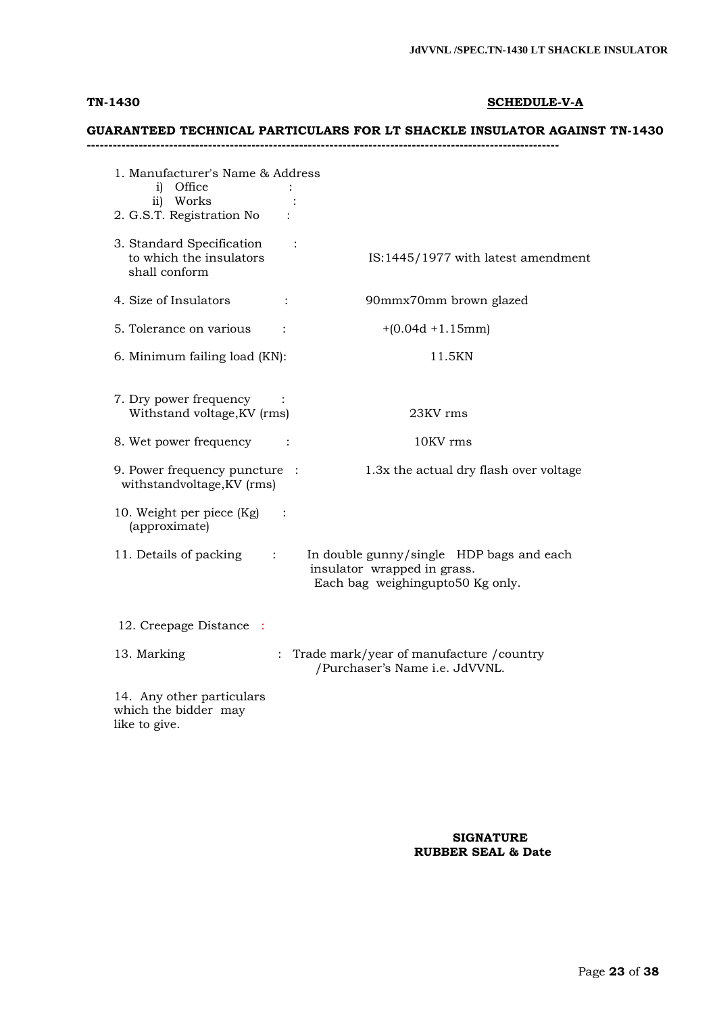# **TN-1430 SCHEDULE-V-A**

# **GUARANTEED TECHNICAL PARTICULARS FOR LT SHACKLE INSULATOR AGAINST TN-1430**

**-------------------------------------------------------------------------------------------------------------**

| 1. Manufacturer's Name & Address<br>i) Office<br>ii) Works<br>2. G.S.T. Registration No |                                                                                                             |
|-----------------------------------------------------------------------------------------|-------------------------------------------------------------------------------------------------------------|
| 3. Standard Specification<br>to which the insulators<br>shall conform                   | $\ddot{\cdot}$<br>IS:1445/1977 with latest amendment                                                        |
| 4. Size of Insulators<br>$\ddot{\cdot}$                                                 | 90mmx70mm brown glazed                                                                                      |
| 5. Tolerance on various                                                                 | $+(0.04d + 1.15mm)$                                                                                         |
| 6. Minimum failing load (KN):                                                           | 11.5KN                                                                                                      |
| 7. Dry power frequency<br>Withstand voltage, KV (rms)                                   | 23KV rms                                                                                                    |
| 8. Wet power frequency                                                                  | 10KV rms                                                                                                    |
| 9. Power frequency puncture :<br>withstandvoltage, KV (rms)                             | 1.3x the actual dry flash over voltage                                                                      |
| 10. Weight per piece (Kg)<br>(approximate)                                              |                                                                                                             |
| 11. Details of packing                                                                  | In double gunny/single HDP bags and each<br>insulator wrapped in grass.<br>Each bag weighingupto50 Kg only. |
| 12. Creepage Distance                                                                   |                                                                                                             |
| 13. Marking                                                                             | : Trade mark/year of manufacture / country<br>/Purchaser's Name i.e. JdVVNL.                                |
| 14. Any other particulars<br>which the bidder may<br>like to give.                      |                                                                                                             |

## **SIGNATURE RUBBER SEAL & Date**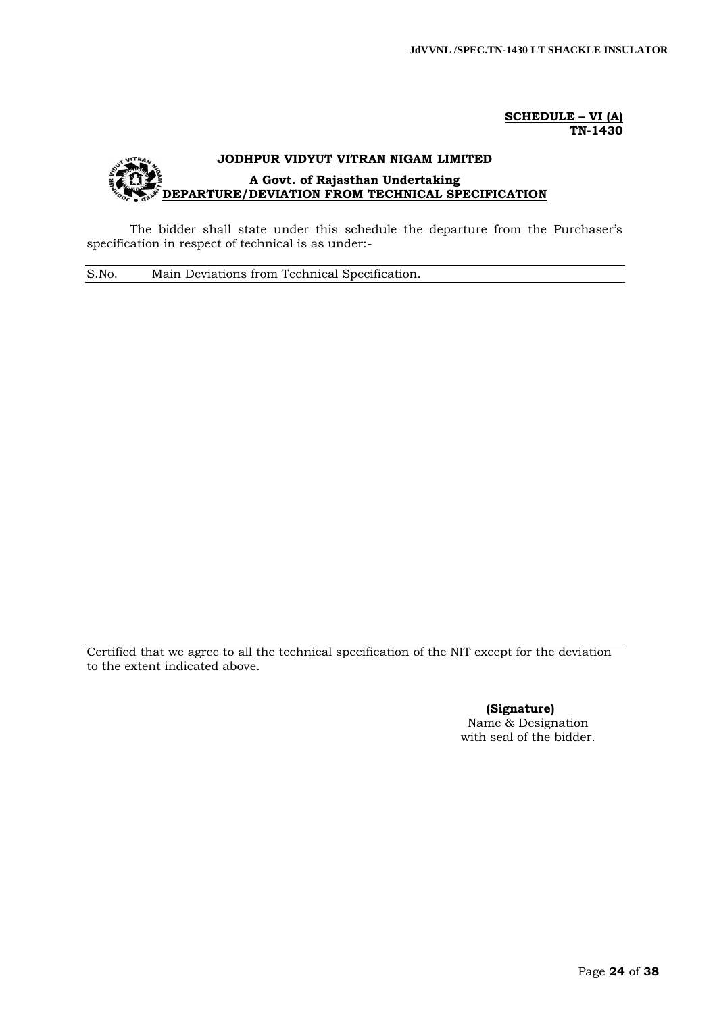#### **SCHEDULE – VI (A) TN-1430**

# **JODHPUR VIDYUT VITRAN NIGAM LIMITED A Govt. of Rajasthan Undertaking DEPARTURE/DEVIATION FROM TECHNICAL SPECIFICATION**

The bidder shall state under this schedule the departure from the Purchaser's specification in respect of technical is as under:-

S.No. Main Deviations from Technical Specification.

Certified that we agree to all the technical specification of the NIT except for the deviation to the extent indicated above.

> **(Signature)** Name & Designation with seal of the bidder.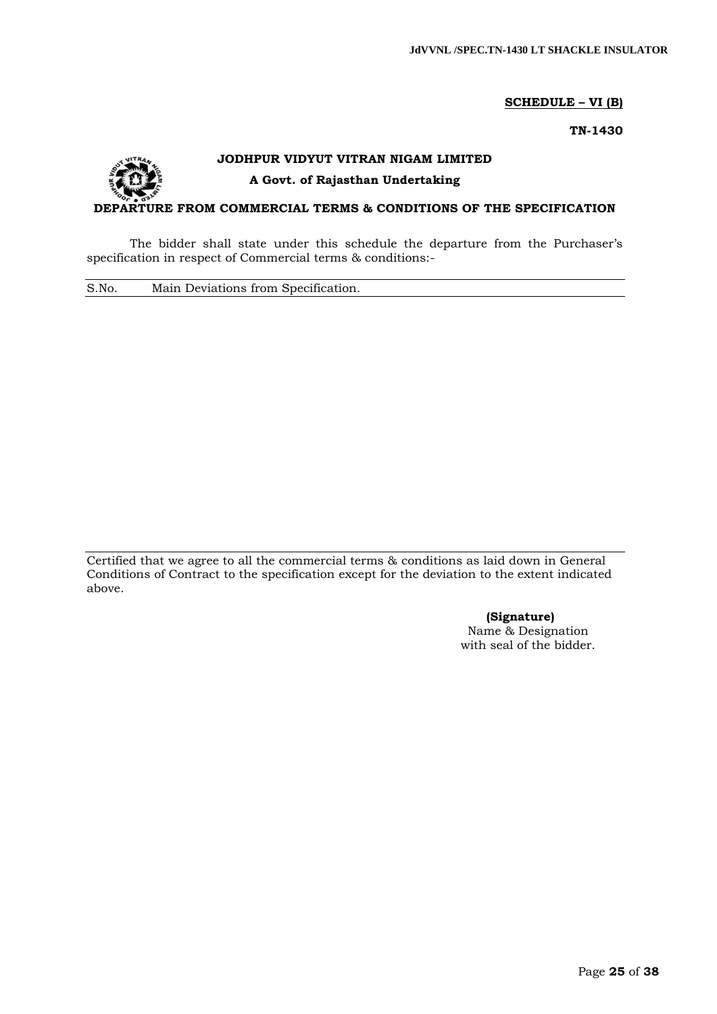# **SCHEDULE – VI (B)**

**TN-1430**



# **JODHPUR VIDYUT VITRAN NIGAM LIMITED A Govt. of Rajasthan Undertaking**

# **DEPARTURE FROM COMMERCIAL TERMS & CONDITIONS OF THE SPECIFICATION**

The bidder shall state under this schedule the departure from the Purchaser's specification in respect of Commercial terms & conditions:-

S.No. Main Deviations from Specification.

Certified that we agree to all the commercial terms & conditions as laid down in General Conditions of Contract to the specification except for the deviation to the extent indicated above.

> **(Signature)** Name & Designation with seal of the bidder.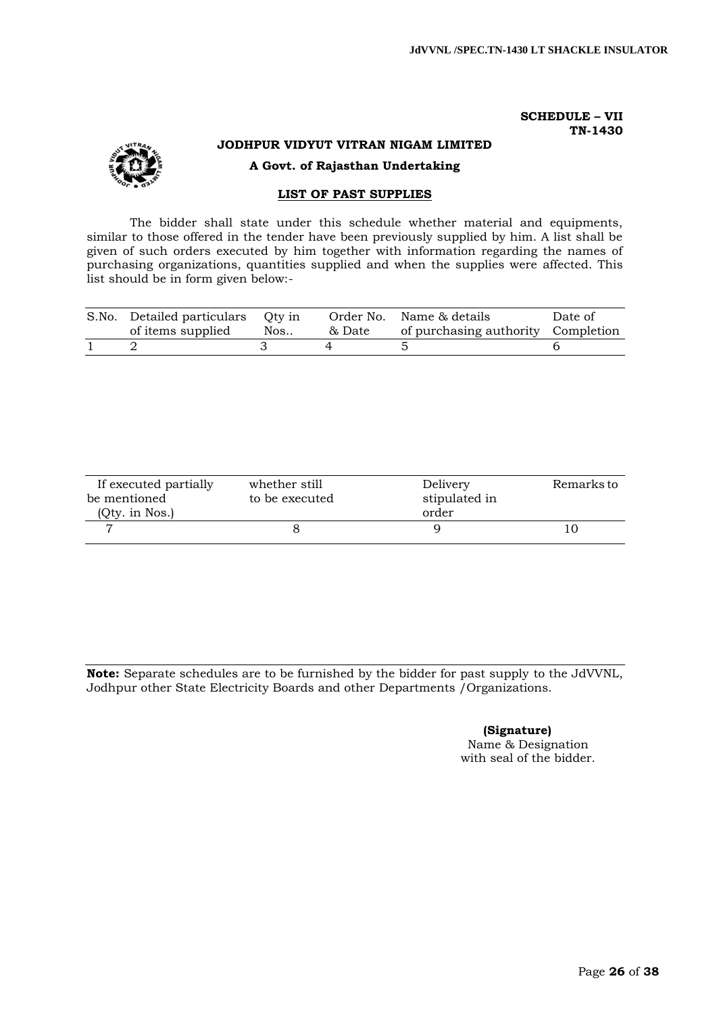#### **SCHEDULE – VII TN-1430**



# **JODHPUR VIDYUT VITRAN NIGAM LIMITED**

**A Govt. of Rajasthan Undertaking**

# **LIST OF PAST SUPPLIES**

The bidder shall state under this schedule whether material and equipments, similar to those offered in the tender have been previously supplied by him. A list shall be given of such orders executed by him together with information regarding the names of purchasing organizations, quantities supplied and when the supplies were affected. This list should be in form given below:-

| of items supplied                 | Nos | & Date | of purchasing authority Completion |         |
|-----------------------------------|-----|--------|------------------------------------|---------|
| S.No. Detailed particulars Qty in |     |        | Order No. Name & details           | Date of |

| If executed partially | whether still<br>Delivery       | Remarks to |
|-----------------------|---------------------------------|------------|
| be mentioned          | stipulated in<br>to be executed |            |
| (Qty. in Nos.)        | order                           |            |
|                       |                                 |            |

**Note:** Separate schedules are to be furnished by the bidder for past supply to the JdVVNL, Jodhpur other State Electricity Boards and other Departments /Organizations.

**(Signature)**

Name & Designation with seal of the bidder.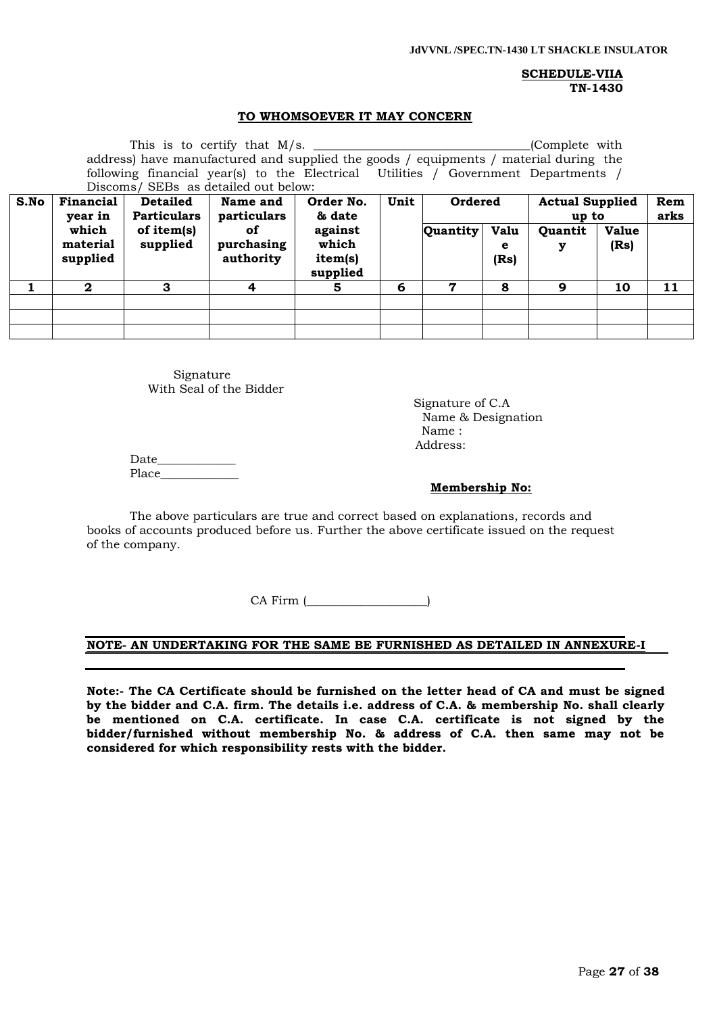# **SCHEDULE-VIIA TN-1430**

#### **TO WHOMSOEVER IT MAY CONCERN**

| This is to certify that $M/s$ . _________<br>(Complete with<br>address) have manufactured and supplied the goods / equipments / material during the<br>following financial year(s) to the Electrical Utilities / Government Departments /<br>Discoms/ SEBs as detailed out below: |                      |            |                         |                     |   |          |             |         |              |    |
|-----------------------------------------------------------------------------------------------------------------------------------------------------------------------------------------------------------------------------------------------------------------------------------|----------------------|------------|-------------------------|---------------------|---|----------|-------------|---------|--------------|----|
| S.No<br>Unit<br>Financial<br>Order No.<br>Ordered<br><b>Detailed</b><br>Name and<br><b>Actual Supplied</b>                                                                                                                                                                        |                      |            |                         |                     |   |          | Rem         |         |              |    |
| <b>Particulars</b><br>year in<br>particulars<br>& date                                                                                                                                                                                                                            |                      |            |                         |                     |   |          | up to       |         | arks         |    |
|                                                                                                                                                                                                                                                                                   | which                | of item(s) | of                      | against<br>which    |   | Quantity | <b>Valu</b> | Quantit | <b>Value</b> |    |
|                                                                                                                                                                                                                                                                                   | material<br>supplied | supplied   | purchasing<br>authority | item(s)<br>supplied |   |          | e<br>(Rs)   | у       | (Rs)         |    |
|                                                                                                                                                                                                                                                                                   | $\mathbf{2}$         | 3          | 4                       | 5                   | 6 | 7        | 8           | 9       | 10           | 11 |
|                                                                                                                                                                                                                                                                                   |                      |            |                         |                     |   |          |             |         |              |    |
|                                                                                                                                                                                                                                                                                   |                      |            |                         |                     |   |          |             |         |              |    |
|                                                                                                                                                                                                                                                                                   |                      |            |                         |                     |   |          |             |         |              |    |

Signature With Seal of the Bidder

 Signature of C.A Name & Designation Name : Address:

Date\_\_\_\_\_\_\_\_\_\_\_\_\_ Place

#### **Membership No:**

The above particulars are true and correct based on explanations, records and books of accounts produced before us. Further the above certificate issued on the request of the company.

CA Firm (

# **NOTE- AN UNDERTAKING FOR THE SAME BE FURNISHED AS DETAILED IN ANNEXURE-I**

**Note:- The CA Certificate should be furnished on the letter head of CA and must be signed by the bidder and C.A. firm. The details i.e. address of C.A. & membership No. shall clearly be mentioned on C.A. certificate. In case C.A. certificate is not signed by the bidder/furnished without membership No. & address of C.A. then same may not be considered for which responsibility rests with the bidder.**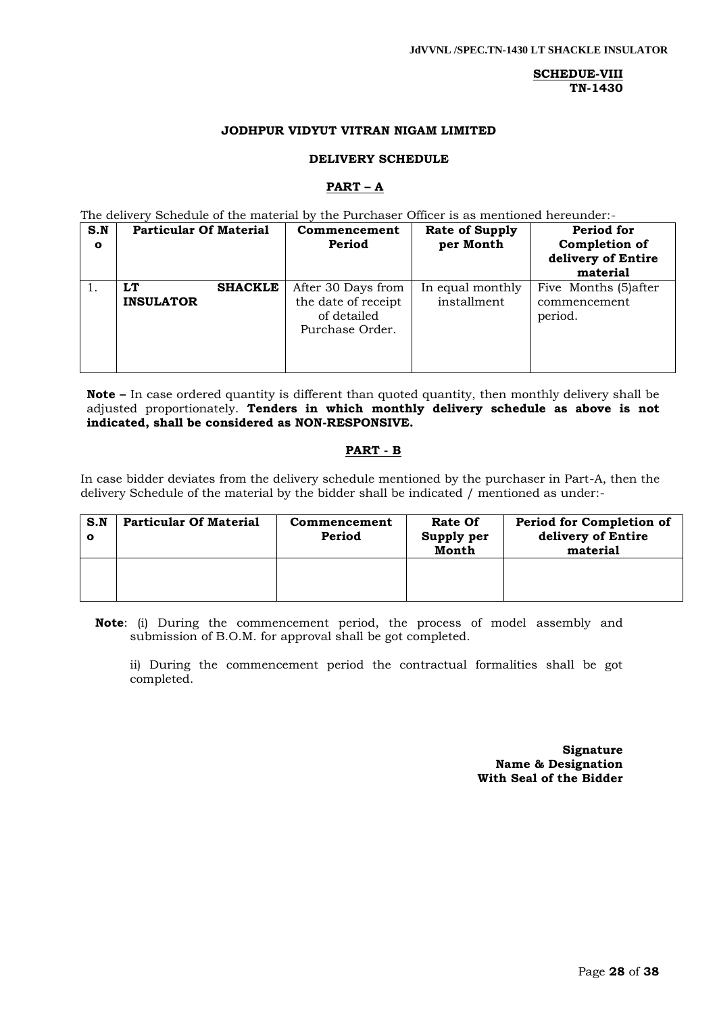# **SCHEDUE-VIII TN-1430**

# **JODHPUR VIDYUT VITRAN NIGAM LIMITED**

#### **DELIVERY SCHEDULE**

#### **PART – A**

The delivery Schedule of the material by the Purchaser Officer is as mentioned hereunder:-

| S.N<br>$\mathbf{o}$ | <b>Particular Of Material</b> |                | Commencement<br>Period                                                      | <b>Rate of Supply</b><br>per Month | Period for<br>Completion of<br>delivery of Entire<br>material |
|---------------------|-------------------------------|----------------|-----------------------------------------------------------------------------|------------------------------------|---------------------------------------------------------------|
|                     | LT<br><b>INSULATOR</b>        | <b>SHACKLE</b> | After 30 Days from<br>the date of receipt<br>of detailed<br>Purchase Order. | In equal monthly<br>installment    | Five Months (5) after<br>commencement<br>period.              |

**Note –** In case ordered quantity is different than quoted quantity, then monthly delivery shall be adjusted proportionately. **Tenders in which monthly delivery schedule as above is not indicated, shall be considered as NON-RESPONSIVE.**

# **PART - B**

In case bidder deviates from the delivery schedule mentioned by the purchaser in Part-A, then the delivery Schedule of the material by the bidder shall be indicated / mentioned as under:-

| S.N | <b>Particular Of Material</b> | Commencement<br>Period | <b>Rate Of</b><br>Supply per<br>Month | Period for Completion of<br>delivery of Entire<br>material |
|-----|-------------------------------|------------------------|---------------------------------------|------------------------------------------------------------|
|     |                               |                        |                                       |                                                            |

**Note**: (i) During the commencement period, the process of model assembly and submission of B.O.M. for approval shall be got completed.

ii) During the commencement period the contractual formalities shall be got completed.

> **Signature Name & Designation With Seal of the Bidder**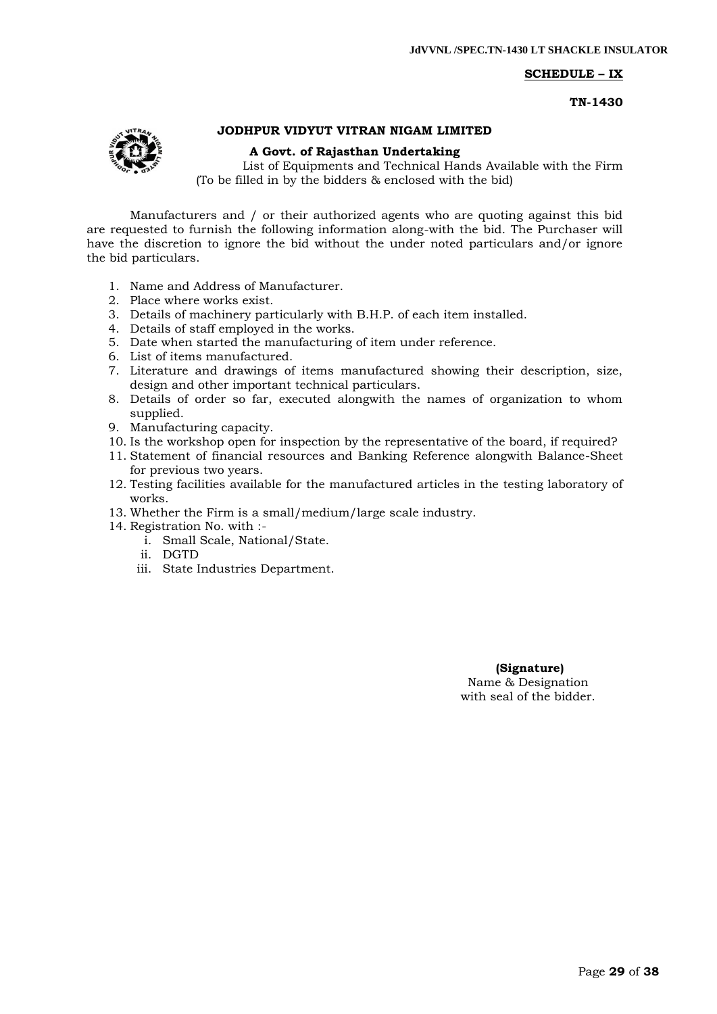# **SCHEDULE – IX**

**TN-1430**



# **JODHPUR VIDYUT VITRAN NIGAM LIMITED**

#### **A Govt. of Rajasthan Undertaking**

List of Equipments and Technical Hands Available with the Firm (To be filled in by the bidders & enclosed with the bid)

Manufacturers and / or their authorized agents who are quoting against this bid are requested to furnish the following information along-with the bid. The Purchaser will have the discretion to ignore the bid without the under noted particulars and/or ignore the bid particulars.

- 1. Name and Address of Manufacturer.
- 2. Place where works exist.
- 3. Details of machinery particularly with B.H.P. of each item installed.
- 4. Details of staff employed in the works.
- 5. Date when started the manufacturing of item under reference.
- 6. List of items manufactured.
- 7. Literature and drawings of items manufactured showing their description, size, design and other important technical particulars.
- 8. Details of order so far, executed alongwith the names of organization to whom supplied.
- 9. Manufacturing capacity.
- 10. Is the workshop open for inspection by the representative of the board, if required?
- 11. Statement of financial resources and Banking Reference alongwith Balance-Sheet for previous two years.
- 12. Testing facilities available for the manufactured articles in the testing laboratory of works.
- 13. Whether the Firm is a small/medium/large scale industry.
- 14. Registration No. with :
	- i. Small Scale, National/State.
	- ii. DGTD
	- iii. State Industries Department.

 **(Signature)** Name & Designation with seal of the bidder.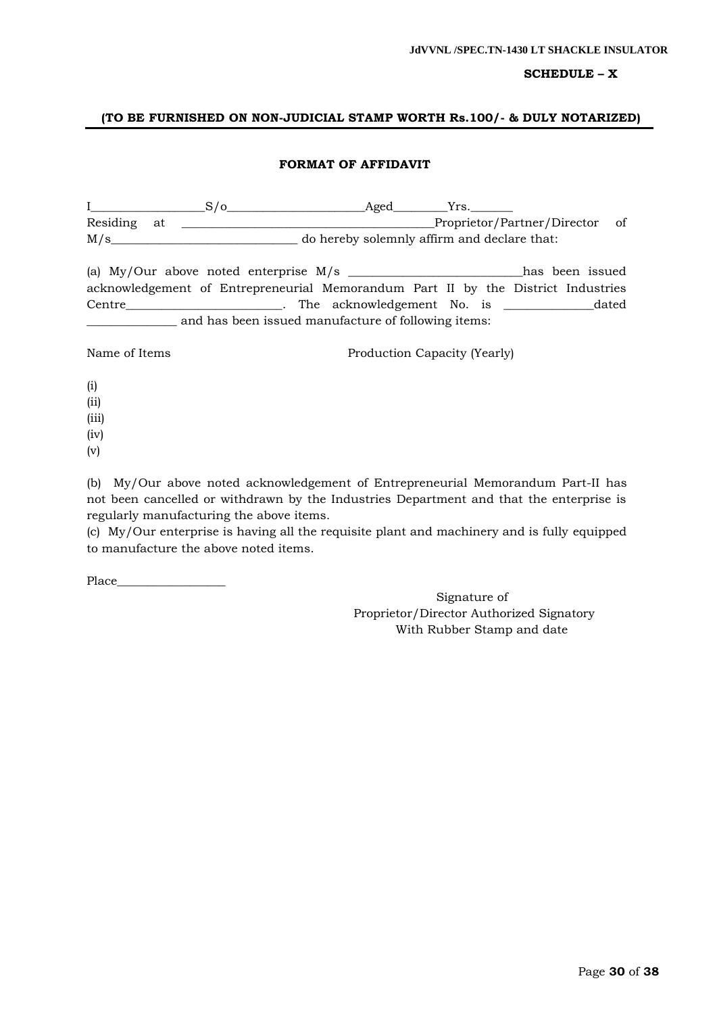# **SCHEDULE – X**

# **(TO BE FURNISHED ON NON-JUDICIAL STAMP WORTH Rs.100/- & DULY NOTARIZED)**

# **FORMAT OF AFFIDAVIT**

| $\mathbf{I}$ and the set of $\mathbf{I}$ | $S/\sigma$                                                                       | _Aged____                                   | Yrs. |                                |  |
|------------------------------------------|----------------------------------------------------------------------------------|---------------------------------------------|------|--------------------------------|--|
| Residing<br>at                           |                                                                                  |                                             |      | Proprietor/Partner/Director of |  |
| M/s                                      |                                                                                  | do hereby solemnly affirm and declare that: |      |                                |  |
|                                          |                                                                                  |                                             |      |                                |  |
|                                          | acknowledgement of Entrepreneurial Memorandum Part II by the District Industries |                                             |      |                                |  |
|                                          |                                                                                  |                                             |      |                                |  |
|                                          | and has been issued manufacture of following items:                              |                                             |      |                                |  |
| Name of Items                            |                                                                                  | Production Capacity (Yearly)                |      |                                |  |

- (i)
- (ii)
- (iii)
- (iv)
- (v)

(b) My/Our above noted acknowledgement of Entrepreneurial Memorandum Part-II has not been cancelled or withdrawn by the Industries Department and that the enterprise is regularly manufacturing the above items.

(c) My/Our enterprise is having all the requisite plant and machinery and is fully equipped to manufacture the above noted items.

Place\_\_\_\_\_\_\_\_\_\_\_\_\_\_\_\_\_\_

Signature of Proprietor/Director Authorized Signatory With Rubber Stamp and date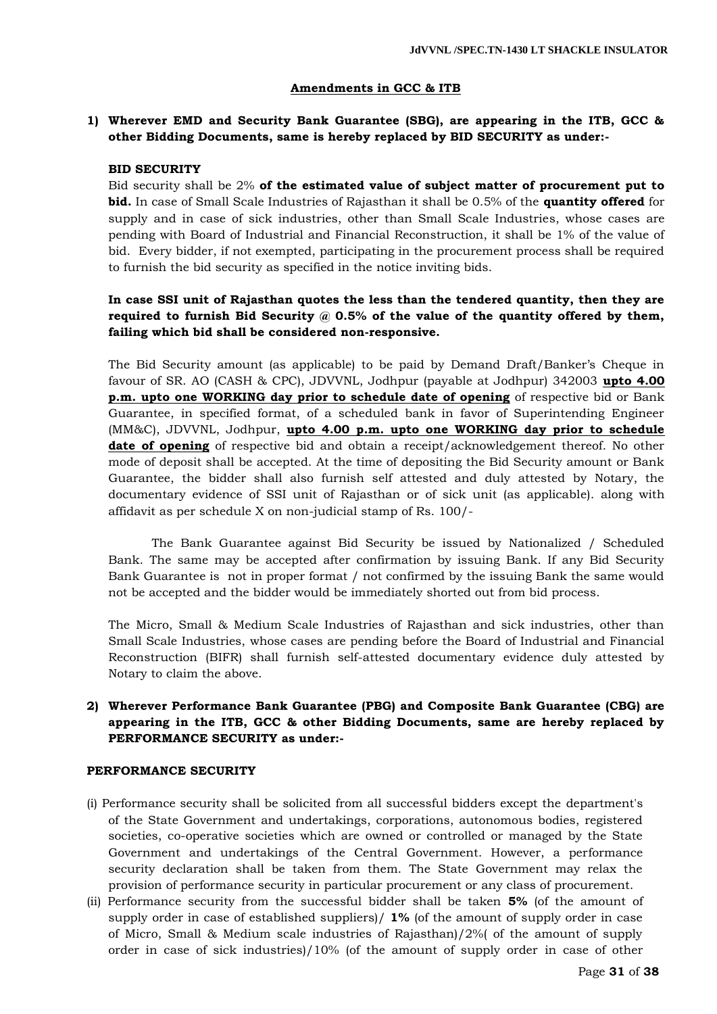#### **Amendments in GCC & ITB**

# **1) Wherever EMD and Security Bank Guarantee (SBG), are appearing in the ITB, GCC & other Bidding Documents, same is hereby replaced by BID SECURITY as under:-**

#### **BID SECURITY**

Bid security shall be 2% **of the estimated value of subject matter of procurement put to bid.** In case of Small Scale Industries of Rajasthan it shall be 0.5% of the **quantity offered** for supply and in case of sick industries, other than Small Scale Industries, whose cases are pending with Board of Industrial and Financial Reconstruction, it shall be 1% of the value of bid. Every bidder, if not exempted, participating in the procurement process shall be required to furnish the bid security as specified in the notice inviting bids.

# **In case SSI unit of Rajasthan quotes the less than the tendered quantity, then they are**  required to furnish Bid Security @ 0.5% of the value of the quantity offered by them, **failing which bid shall be considered non-responsive.**

The Bid Security amount (as applicable) to be paid by Demand Draft/Banker"s Cheque in favour of SR. AO (CASH & CPC), JDVVNL, Jodhpur (payable at Jodhpur) 342003 **upto 4.00 p.m. upto one WORKING day prior to schedule date of opening** of respective bid or Bank Guarantee, in specified format, of a scheduled bank in favor of Superintending Engineer (MM&C), JDVVNL, Jodhpur, **upto 4.00 p.m. upto one WORKING day prior to schedule date of opening** of respective bid and obtain a receipt/acknowledgement thereof. No other mode of deposit shall be accepted. At the time of depositing the Bid Security amount or Bank Guarantee, the bidder shall also furnish self attested and duly attested by Notary, the documentary evidence of SSI unit of Rajasthan or of sick unit (as applicable). along with affidavit as per schedule X on non-judicial stamp of Rs. 100/-

The Bank Guarantee against Bid Security be issued by Nationalized / Scheduled Bank. The same may be accepted after confirmation by issuing Bank. If any Bid Security Bank Guarantee is not in proper format / not confirmed by the issuing Bank the same would not be accepted and the bidder would be immediately shorted out from bid process.

The Micro, Small & Medium Scale Industries of Rajasthan and sick industries, other than Small Scale Industries, whose cases are pending before the Board of Industrial and Financial Reconstruction (BIFR) shall furnish self-attested documentary evidence duly attested by Notary to claim the above.

# **2) Wherever Performance Bank Guarantee (PBG) and Composite Bank Guarantee (CBG) are appearing in the ITB, GCC & other Bidding Documents, same are hereby replaced by PERFORMANCE SECURITY as under:-**

#### **PERFORMANCE SECURITY**

- (i) Performance security shall be solicited from all successful bidders except the department's of the State Government and undertakings, corporations, autonomous bodies, registered societies, co-operative societies which are owned or controlled or managed by the State Government and undertakings of the Central Government. However, a performance security declaration shall be taken from them. The State Government may relax the provision of performance security in particular procurement or any class of procurement.
- (ii) Performance security from the successful bidder shall be taken **5%** (of the amount of supply order in case of established suppliers)/ **1%** (of the amount of supply order in case of Micro, Small & Medium scale industries of Rajasthan)/2%( of the amount of supply order in case of sick industries)/10% (of the amount of supply order in case of other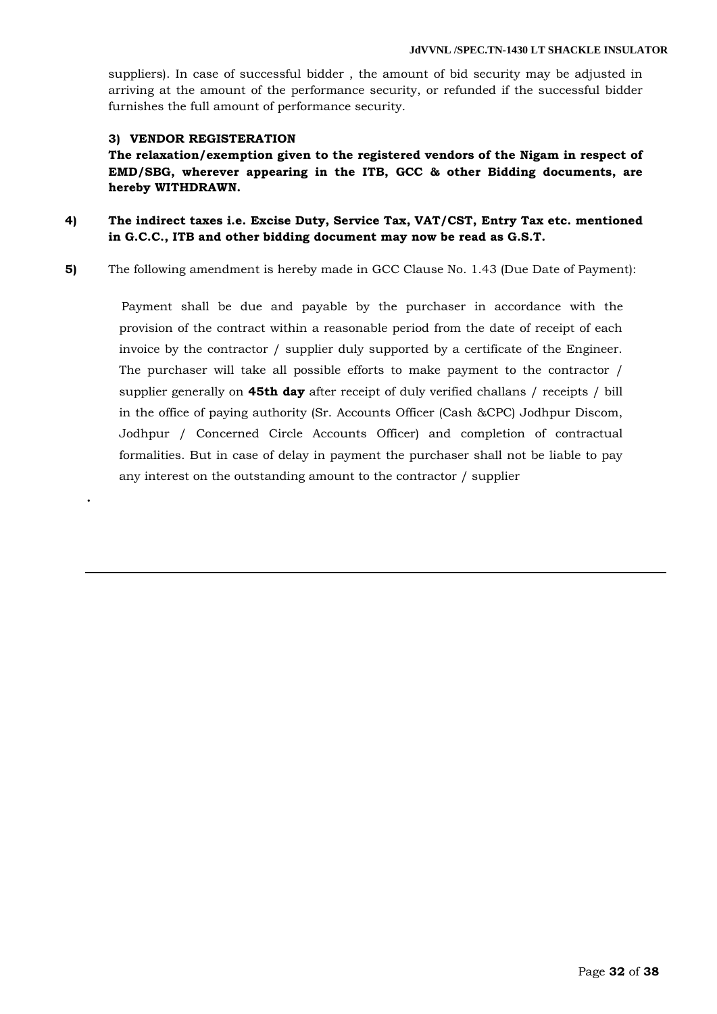suppliers). In case of successful bidder , the amount of bid security may be adjusted in arriving at the amount of the performance security, or refunded if the successful bidder furnishes the full amount of performance security.

#### **3) VENDOR REGISTERATION**

**.**

**The relaxation/exemption given to the registered vendors of the Nigam in respect of EMD/SBG, wherever appearing in the ITB, GCC & other Bidding documents, are hereby WITHDRAWN.**

**4) The indirect taxes i.e. Excise Duty, Service Tax, VAT/CST, Entry Tax etc. mentioned in G.C.C., ITB and other bidding document may now be read as G.S.T.**

**5)** The following amendment is hereby made in GCC Clause No. 1.43 (Due Date of Payment):

 Payment shall be due and payable by the purchaser in accordance with the provision of the contract within a reasonable period from the date of receipt of each invoice by the contractor / supplier duly supported by a certificate of the Engineer. The purchaser will take all possible efforts to make payment to the contractor / supplier generally on **45th day** after receipt of duly verified challans / receipts / bill in the office of paying authority (Sr. Accounts Officer (Cash &CPC) Jodhpur Discom, Jodhpur / Concerned Circle Accounts Officer) and completion of contractual formalities. But in case of delay in payment the purchaser shall not be liable to pay any interest on the outstanding amount to the contractor / supplier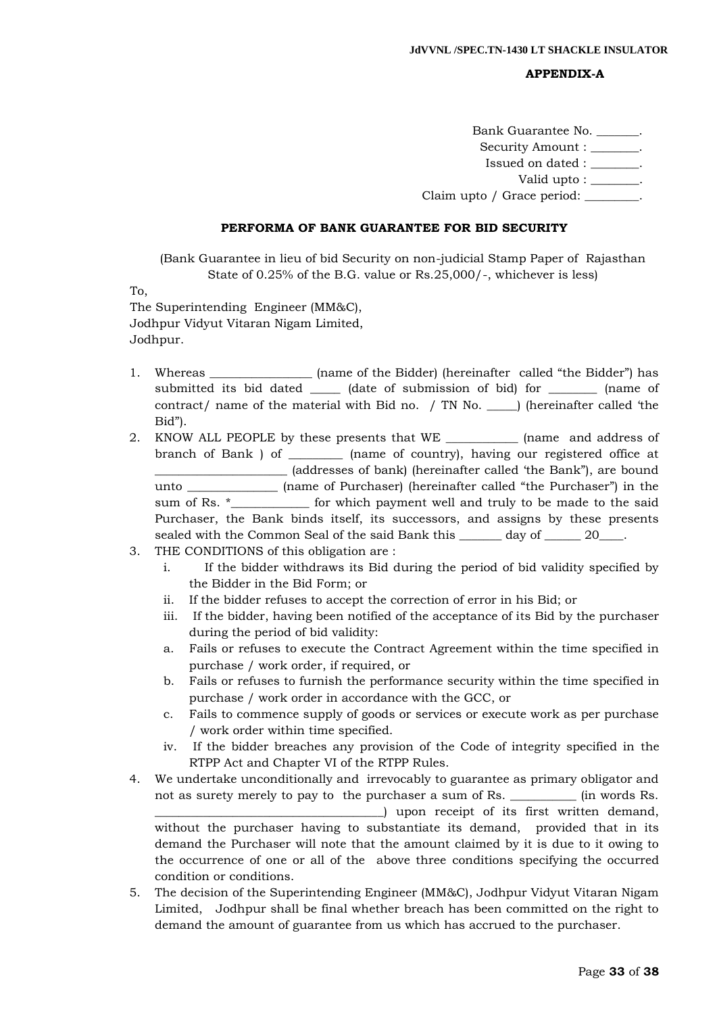#### **APPENDIX-A**

Bank Guarantee No. \_\_\_\_\_\_\_. Security Amount :  $\qquad \qquad$ Issued on dated : \_\_\_\_\_\_\_\_. Valid upto : \_\_\_\_\_\_\_\_. Claim upto / Grace period:

#### **PERFORMA OF BANK GUARANTEE FOR BID SECURITY**

(Bank Guarantee in lieu of bid Security on non-judicial Stamp Paper of Rajasthan State of 0.25% of the B.G. value or Rs.25,000/-, whichever is less)

To,

The Superintending Engineer (MM&C), Jodhpur Vidyut Vitaran Nigam Limited, Jodhpur.

- 1. Whereas \_\_\_\_\_\_\_\_\_\_\_\_\_\_\_\_ (name of the Bidder) (hereinafter called "the Bidder") has submitted its bid dated \_\_\_\_\_\_\_ (date of submission of bid) for \_\_\_\_\_\_\_\_\_ (name of contract/ name of the material with Bid no. / TN No. \_\_\_\_\_) (hereinafter called "the Bid").
- 2. KNOW ALL PEOPLE by these presents that WE \_\_\_\_\_\_\_\_\_\_\_\_ (name and address of branch of Bank ) of \_\_\_\_\_\_\_\_\_ (name of country), having our registered office at \_\_\_\_\_\_\_\_\_\_\_\_\_\_\_\_\_\_\_\_\_\_ (addresses of bank) (hereinafter called "the Bank"), are bound unto \_\_\_\_\_\_\_\_\_\_\_\_\_\_\_ (name of Purchaser) (hereinafter called "the Purchaser") in the sum of Rs. \*\_\_\_\_\_\_\_\_\_\_\_\_\_ for which payment well and truly to be made to the said Purchaser, the Bank binds itself, its successors, and assigns by these presents sealed with the Common Seal of the said Bank this \_\_\_\_\_\_\_ day of \_\_\_\_\_\_ 20\_\_\_\_.
- 3. THE CONDITIONS of this obligation are :
	- i. If the bidder withdraws its Bid during the period of bid validity specified by the Bidder in the Bid Form; or
	- ii. If the bidder refuses to accept the correction of error in his Bid; or
	- iii. If the bidder, having been notified of the acceptance of its Bid by the purchaser during the period of bid validity:
	- a. Fails or refuses to execute the Contract Agreement within the time specified in purchase / work order, if required, or
	- b. Fails or refuses to furnish the performance security within the time specified in purchase / work order in accordance with the GCC, or
	- c. Fails to commence supply of goods or services or execute work as per purchase / work order within time specified.
	- iv. If the bidder breaches any provision of the Code of integrity specified in the RTPP Act and Chapter VI of the RTPP Rules.
- 4. We undertake unconditionally and irrevocably to guarantee as primary obligator and not as surety merely to pay to the purchaser a sum of Rs. \_\_\_\_\_\_\_\_\_\_\_ (in words Rs. \_\_\_\_\_\_\_\_\_\_\_\_\_\_\_\_\_\_\_\_\_\_\_\_\_\_\_\_\_\_\_\_\_\_\_\_\_\_) upon receipt of its first written demand, without the purchaser having to substantiate its demand, provided that in its demand the Purchaser will note that the amount claimed by it is due to it owing to the occurrence of one or all of the above three conditions specifying the occurred condition or conditions.
- 5. The decision of the Superintending Engineer (MM&C), Jodhpur Vidyut Vitaran Nigam Limited, Jodhpur shall be final whether breach has been committed on the right to demand the amount of guarantee from us which has accrued to the purchaser.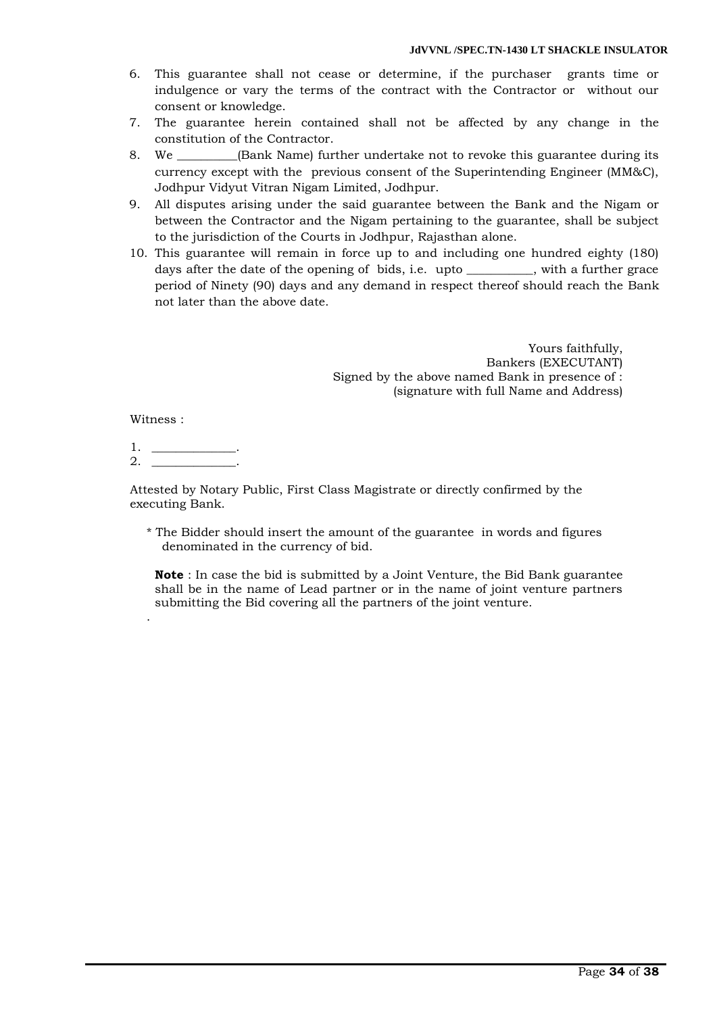- 6. This guarantee shall not cease or determine, if the purchaser grants time or indulgence or vary the terms of the contract with the Contractor or without our consent or knowledge.
- 7. The guarantee herein contained shall not be affected by any change in the constitution of the Contractor.
- 8. We \_\_\_\_\_\_\_\_\_\_(Bank Name) further undertake not to revoke this guarantee during its currency except with the previous consent of the Superintending Engineer (MM&C), Jodhpur Vidyut Vitran Nigam Limited, Jodhpur.
- 9. All disputes arising under the said guarantee between the Bank and the Nigam or between the Contractor and the Nigam pertaining to the guarantee, shall be subject to the jurisdiction of the Courts in Jodhpur, Rajasthan alone.
- 10. This guarantee will remain in force up to and including one hundred eighty (180) days after the date of the opening of bids, i.e. upto \_\_\_\_\_\_\_\_\_\_\_, with a further grace period of Ninety (90) days and any demand in respect thereof should reach the Bank not later than the above date.

Yours faithfully, Bankers (EXECUTANT) Signed by the above named Bank in presence of : (signature with full Name and Address)

Witness :

.

 $1.$  $2_{-}$ 

Attested by Notary Public, First Class Magistrate or directly confirmed by the executing Bank.

\* The Bidder should insert the amount of the guarantee in words and figures denominated in the currency of bid.

**Note** : In case the bid is submitted by a Joint Venture, the Bid Bank guarantee shall be in the name of Lead partner or in the name of joint venture partners submitting the Bid covering all the partners of the joint venture.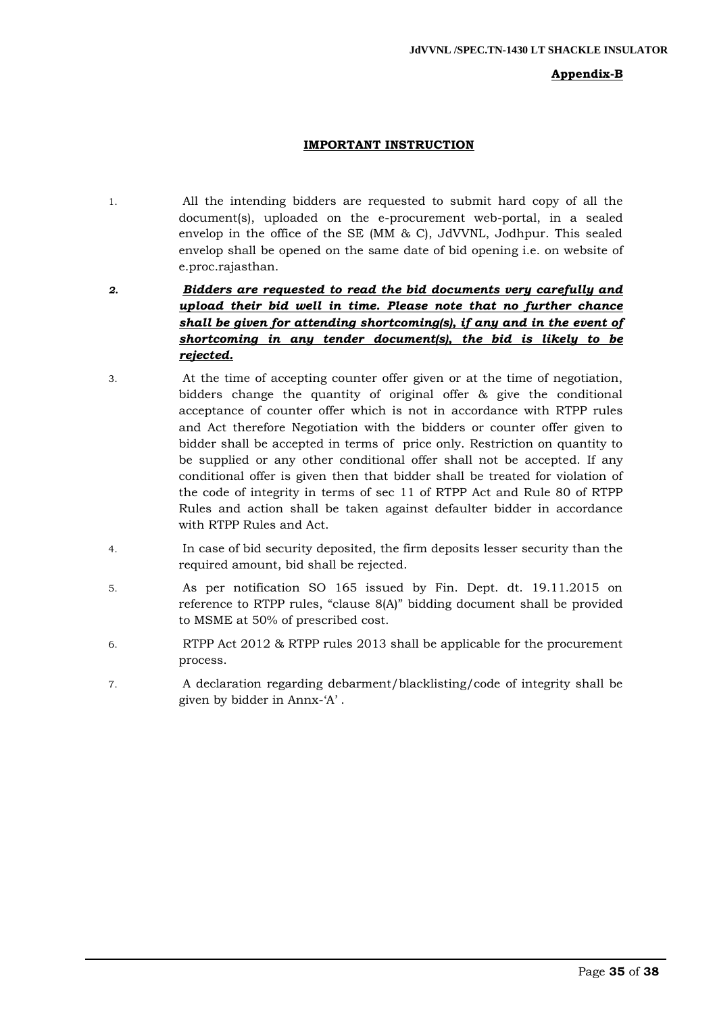#### **Appendix-B**

# **IMPORTANT INSTRUCTION**

- 1. All the intending bidders are requested to submit hard copy of all the document(s), uploaded on the e-procurement web-portal, in a sealed envelop in the office of the SE (MM & C), JdVVNL, Jodhpur. This sealed envelop shall be opened on the same date of bid opening i.e. on website of e.proc.rajasthan.
- *2. Bidders are requested to read the bid documents very carefully and upload their bid well in time. Please note that no further chance shall be given for attending shortcoming(s), if any and in the event of shortcoming in any tender document(s), the bid is likely to be rejected.*
- 3. At the time of accepting counter offer given or at the time of negotiation, bidders change the quantity of original offer & give the conditional acceptance of counter offer which is not in accordance with RTPP rules and Act therefore Negotiation with the bidders or counter offer given to bidder shall be accepted in terms of price only. Restriction on quantity to be supplied or any other conditional offer shall not be accepted. If any conditional offer is given then that bidder shall be treated for violation of the code of integrity in terms of sec 11 of RTPP Act and Rule 80 of RTPP Rules and action shall be taken against defaulter bidder in accordance with RTPP Rules and Act.
- 4. In case of bid security deposited, the firm deposits lesser security than the required amount, bid shall be rejected.
- 5. As per notification SO 165 issued by Fin. Dept. dt. 19.11.2015 on reference to RTPP rules, "clause 8(A)" bidding document shall be provided to MSME at 50% of prescribed cost.
- 6. RTPP Act 2012 & RTPP rules 2013 shall be applicable for the procurement process.
- 7. A declaration regarding debarment/blacklisting/code of integrity shall be given by bidder in Annx-'A'.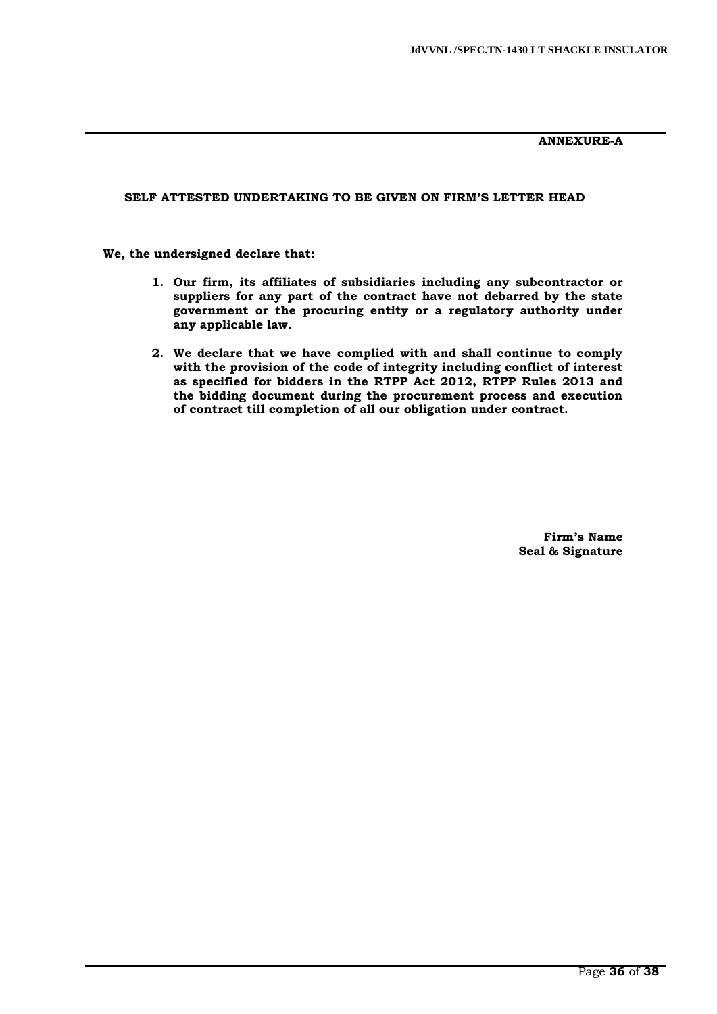# **ANNEXURE-A**

# **SELF ATTESTED UNDERTAKING TO BE GIVEN ON FIRM'S LETTER HEAD**

 **We, the undersigned declare that:**

- **1. Our firm, its affiliates of subsidiaries including any subcontractor or suppliers for any part of the contract have not debarred by the state government or the procuring entity or a regulatory authority under any applicable law.**
- **2. We declare that we have complied with and shall continue to comply with the provision of the code of integrity including conflict of interest as specified for bidders in the RTPP Act 2012, RTPP Rules 2013 and the bidding document during the procurement process and execution of contract till completion of all our obligation under contract.**

**Firm's Name Seal & Signature**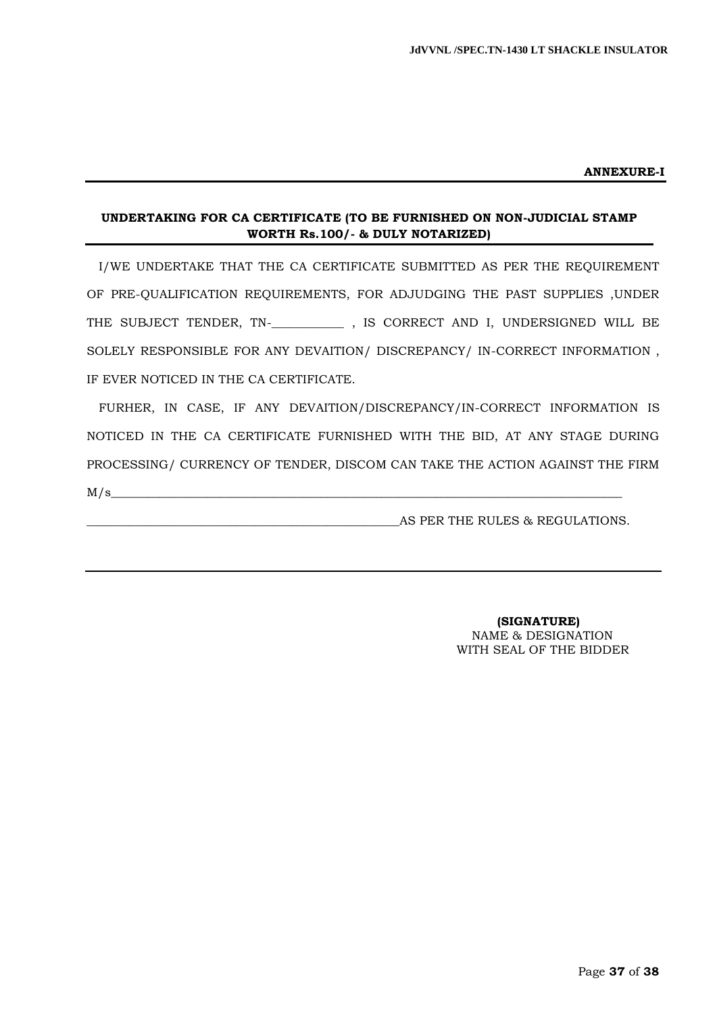#### **ANNEXURE-I**

# **UNDERTAKING FOR CA CERTIFICATE (TO BE FURNISHED ON NON-JUDICIAL STAMP WORTH Rs.100/- & DULY NOTARIZED)**

I/WE UNDERTAKE THAT THE CA CERTIFICATE SUBMITTED AS PER THE REQUIREMENT OF PRE-QUALIFICATION REQUIREMENTS, FOR ADJUDGING THE PAST SUPPLIES ,UNDER THE SUBJECT TENDER, TN-\_**\_\_\_\_\_\_\_\_\_\_\_** , IS CORRECT AND I, UNDERSIGNED WILL BE SOLELY RESPONSIBLE FOR ANY DEVAITION/ DISCREPANCY/ IN-CORRECT INFORMATION , IF EVER NOTICED IN THE CA CERTIFICATE.

FURHER, IN CASE, IF ANY DEVAITION/DISCREPANCY/IN-CORRECT INFORMATION IS NOTICED IN THE CA CERTIFICATE FURNISHED WITH THE BID, AT ANY STAGE DURING PROCESSING/ CURRENCY OF TENDER, DISCOM CAN TAKE THE ACTION AGAINST THE FIRM  $M/s$ 

\_\_\_\_\_\_\_\_\_\_\_\_\_\_\_\_\_\_\_\_\_\_\_\_\_\_\_\_\_\_\_\_\_\_\_\_\_\_\_\_\_\_\_\_\_\_\_\_\_\_\_\_AS PER THE RULES & REGULATIONS.

 **(SIGNATURE)** NAME & DESIGNATION WITH SEAL OF THE BIDDER